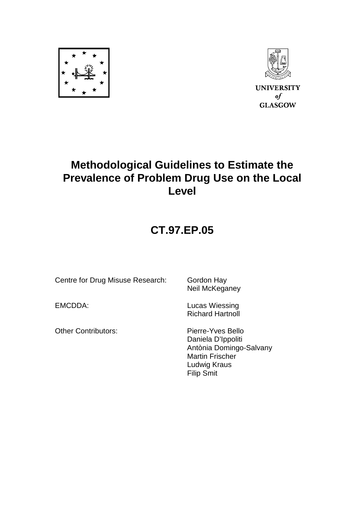



### **Methodological Guidelines to Estimate the Prevalence of Problem Drug Use on the Local Level**

## **CT.97.EP.05**

Centre for Drug Misuse Research: Gordon Hay

EMCDDA: Lucas Wiessing Richard Hartnoll

Neil McKeganey

Other Contributors: Pierre-Yves Bello

 Daniela D'Ippoliti Antònia Domingo-Salvany Martin Frischer Ludwig Kraus Filip Smit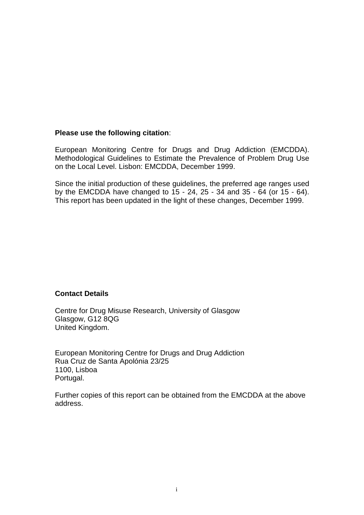#### **Please use the following citation**:

European Monitoring Centre for Drugs and Drug Addiction (EMCDDA). Methodological Guidelines to Estimate the Prevalence of Problem Drug Use on the Local Level. Lisbon: EMCDDA, December 1999.

Since the initial production of these guidelines, the preferred age ranges used by the EMCDDA have changed to  $15 - 24$ ,  $25 - 34$  and  $35 - 64$  (or  $15 - 64$ ). This report has been updated in the light of these changes, December 1999.

#### **Contact Details**

Centre for Drug Misuse Research, University of Glasgow Glasgow, G12 8QG United Kingdom.

European Monitoring Centre for Drugs and Drug Addiction Rua Cruz de Santa Apolónia 23/25 1100, Lisboa Portugal.

Further copies of this report can be obtained from the EMCDDA at the above address.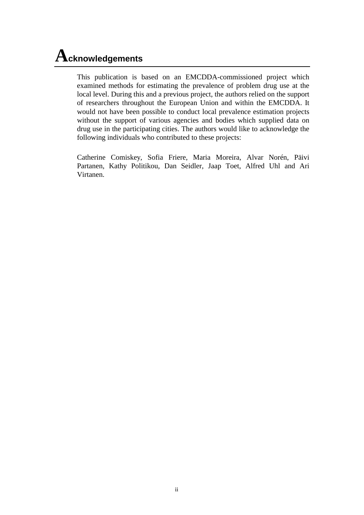## **Acknowledgements**

This publication is based on an EMCDDA-commissioned project which examined methods for estimating the prevalence of problem drug use at the local level. During this and a previous project, the authors relied on the support of researchers throughout the European Union and within the EMCDDA. It would not have been possible to conduct local prevalence estimation projects without the support of various agencies and bodies which supplied data on drug use in the participating cities. The authors would like to acknowledge the following individuals who contributed to these projects:

Catherine Comiskey, Sofia Friere, Maria Moreira, Alvar Norén, Päivi Partanen, Kathy Politikou, Dan Seidler, Jaap Toet, Alfred Uhl and Ari Virtanen.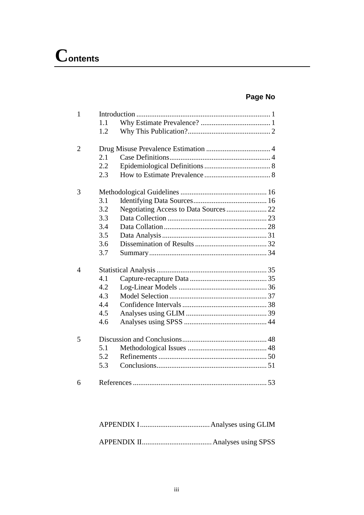### **Page No**

| 1              | 1.1<br>1.2 |  |
|----------------|------------|--|
| $\overline{2}$ |            |  |
|                | 2.1        |  |
|                | 2.2        |  |
|                | 2.3        |  |
| 3              |            |  |
|                | 3.1        |  |
|                | 3.2        |  |
|                | 3.3        |  |
|                | 3.4        |  |
|                | 3.5        |  |
|                | 3.6        |  |
|                | 3.7        |  |
| 4              |            |  |
|                | 4.1        |  |
|                | 4.2        |  |
|                | 4.3        |  |
|                | 4.4        |  |
|                | 4.5        |  |
|                | 4.6        |  |
| 5              |            |  |
|                | 5.1        |  |
|                | 5.2        |  |
|                | 5.3        |  |
| 6              |            |  |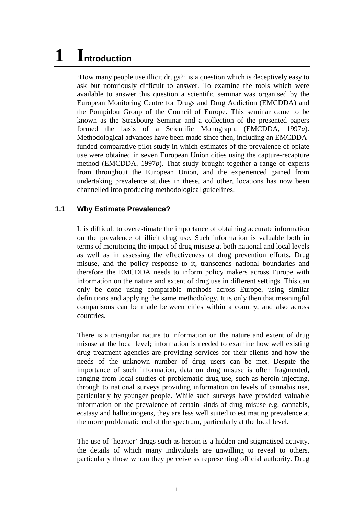# **1 Introduction**

'How many people use illicit drugs?' is a question which is deceptively easy to ask but notoriously difficult to answer. To examine the tools which were available to answer this question a scientific seminar was organised by the European Monitoring Centre for Drugs and Drug Addiction (EMCDDA) and the Pompidou Group of the Council of Europe. This seminar came to be known as the Strasbourg Seminar and a collection of the presented papers formed the basis of a Scientific Monograph. (EMCDDA, 1997*a*). Methodological advances have been made since then, including an EMCDDAfunded comparative pilot study in which estimates of the prevalence of opiate use were obtained in seven European Union cities using the capture-recapture method (EMCDDA, 1997*b*). That study brought together a range of experts from throughout the European Union, and the experienced gained from undertaking prevalence studies in these, and other, locations has now been channelled into producing methodological guidelines.

#### **1.1 Why Estimate Prevalence?**

It is difficult to overestimate the importance of obtaining accurate information on the prevalence of illicit drug use. Such information is valuable both in terms of monitoring the impact of drug misuse at both national and local levels as well as in assessing the effectiveness of drug prevention efforts. Drug misuse, and the policy response to it, transcends national boundaries and therefore the EMCDDA needs to inform policy makers across Europe with information on the nature and extent of drug use in different settings. This can only be done using comparable methods across Europe, using similar definitions and applying the same methodology. It is only then that meaningful comparisons can be made between cities within a country, and also across countries.

There is a triangular nature to information on the nature and extent of drug misuse at the local level; information is needed to examine how well existing drug treatment agencies are providing services for their clients and how the needs of the unknown number of drug users can be met. Despite the importance of such information, data on drug misuse is often fragmented, ranging from local studies of problematic drug use, such as heroin injecting, through to national surveys providing information on levels of cannabis use, particularly by younger people. While such surveys have provided valuable information on the prevalence of certain kinds of drug misuse e.g. cannabis, ecstasy and hallucinogens, they are less well suited to estimating prevalence at the more problematic end of the spectrum, particularly at the local level.

The use of 'heavier' drugs such as heroin is a hidden and stigmatised activity, the details of which many individuals are unwilling to reveal to others, particularly those whom they perceive as representing official authority. Drug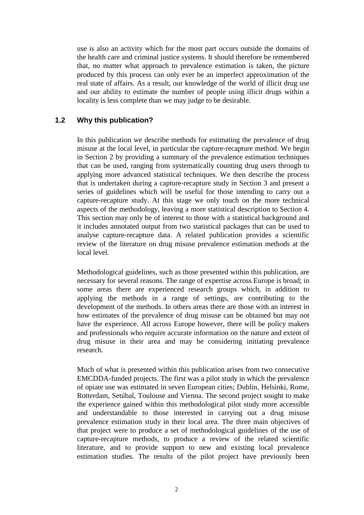use is also an activity which for the most part occurs outside the domains of the health care and criminal justice systems. It should therefore be remembered that, no matter what approach to prevalence estimation is taken, the picture produced by this process can only ever be an imperfect approximation of the real state of affairs. As a result, our knowledge of the world of illicit drug use and our ability to estimate the number of people using illicit drugs within a locality is less complete than we may judge to be desirable.

#### **1.2 Why this publication?**

In this publication we describe methods for estimating the prevalence of drug misuse at the local level, in particular the capture-recapture method. We begin in Section 2 by providing a summary of the prevalence estimation techniques that can be used, ranging from systematically counting drug users through to applying more advanced statistical techniques. We then describe the process that is undertaken during a capture-recapture study in Section 3 and present a series of guidelines which will be useful for those intending to carry out a capture-recapture study. At this stage we only touch on the more technical aspects of the methodology, leaving a more statistical description to Section 4. This section may only be of interest to those with a statistical background and it includes annotated output from two statistical packages that can be used to analyse capture-recapture data. A related publication provides a scientific review of the literature on drug misuse prevalence estimation methods at the local level.

Methodological guidelines, such as those presented within this publication, are necessary for several reasons. The range of expertise across Europe is broad; in some areas there are experienced research groups which, in addition to applying the methods in a range of settings, are contributing to the development of the methods. In others areas there are those with an interest in how estimates of the prevalence of drug misuse can be obtained but may not have the experience. All across Europe however, there will be policy makers and professionals who require accurate information on the nature and extent of drug misuse in their area and may be considering initiating prevalence research.

Much of what is presented within this publication arises from two consecutive EMCDDA-funded projects. The first was a pilot study in which the prevalence of opiate use was estimated in seven European cities; Dublin, Helsinki, Rome, Rotterdam, Setúbal, Toulouse and Vienna. The second project sought to make the experience gained within this methodological pilot study more accessible and understandable to those interested in carrying out a drug misuse prevalence estimation study in their local area. The three main objectives of that project were to produce a set of methodological guidelines of the use of capture-recapture methods, to produce a review of the related scientific literature, and to provide support to new and existing local prevalence estimation studies. The results of the pilot project have previously been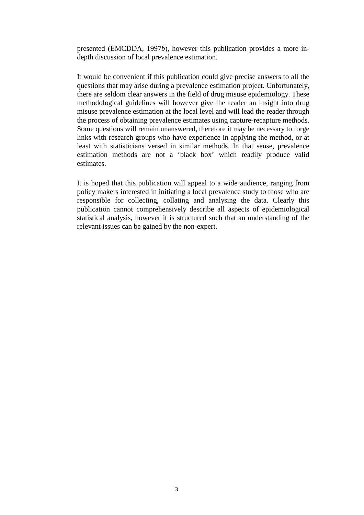presented (EMCDDA, 1997*b*), however this publication provides a more indepth discussion of local prevalence estimation.

It would be convenient if this publication could give precise answers to all the questions that may arise during a prevalence estimation project. Unfortunately, there are seldom clear answers in the field of drug misuse epidemiology. These methodological guidelines will however give the reader an insight into drug misuse prevalence estimation at the local level and will lead the reader through the process of obtaining prevalence estimates using capture-recapture methods. Some questions will remain unanswered, therefore it may be necessary to forge links with research groups who have experience in applying the method, or at least with statisticians versed in similar methods. In that sense, prevalence estimation methods are not a 'black box' which readily produce valid estimates.

It is hoped that this publication will appeal to a wide audience, ranging from policy makers interested in initiating a local prevalence study to those who are responsible for collecting, collating and analysing the data. Clearly this publication cannot comprehensively describe all aspects of epidemiological statistical analysis, however it is structured such that an understanding of the relevant issues can be gained by the non-expert.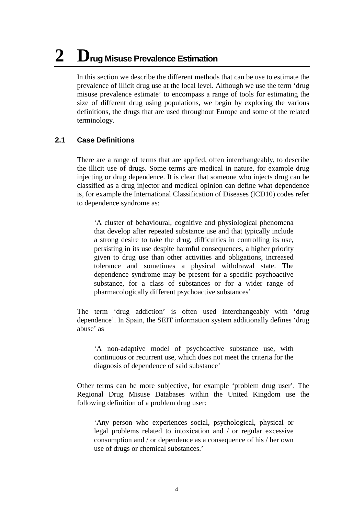# **2 Drug Misuse Prevalence Estimation**

In this section we describe the different methods that can be use to estimate the prevalence of illicit drug use at the local level. Although we use the term 'drug misuse prevalence estimate' to encompass a range of tools for estimating the size of different drug using populations, we begin by exploring the various definitions, the drugs that are used throughout Europe and some of the related terminology.

#### **2.1 Case Definitions**

There are a range of terms that are applied, often interchangeably, to describe the illicit use of drugs. Some terms are medical in nature, for example drug injecting or drug dependence. It is clear that someone who injects drug can be classified as a drug injector and medical opinion can define what dependence is, for example the International Classification of Diseases (ICD10) codes refer to dependence syndrome as:

'A cluster of behavioural, cognitive and physiological phenomena that develop after repeated substance use and that typically include a strong desire to take the drug, difficulties in controlling its use, persisting in its use despite harmful consequences, a higher priority given to drug use than other activities and obligations, increased tolerance and sometimes a physical withdrawal state. The dependence syndrome may be present for a specific psychoactive substance, for a class of substances or for a wider range of pharmacologically different psychoactive substances'

The term 'drug addiction' is often used interchangeably with 'drug dependence'. In Spain, the SEIT information system additionally defines 'drug abuse' as

'A non-adaptive model of psychoactive substance use, with continuous or recurrent use, which does not meet the criteria for the diagnosis of dependence of said substance'

Other terms can be more subjective, for example 'problem drug user'. The Regional Drug Misuse Databases within the United Kingdom use the following definition of a problem drug user:

'Any person who experiences social, psychological, physical or legal problems related to intoxication and / or regular excessive consumption and / or dependence as a consequence of his / her own use of drugs or chemical substances.'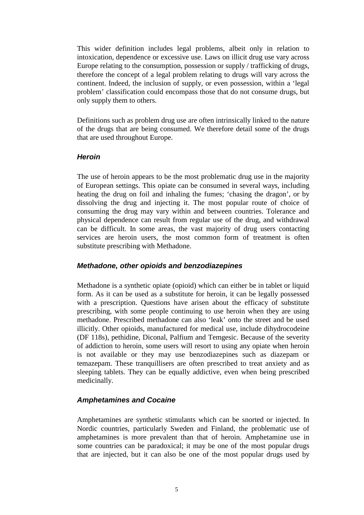This wider definition includes legal problems, albeit only in relation to intoxication, dependence or excessive use. Laws on illicit drug use vary across Europe relating to the consumption, possession or supply / trafficking of drugs, therefore the concept of a legal problem relating to drugs will vary across the continent. Indeed, the inclusion of supply, or even possession, within a 'legal problem' classification could encompass those that do not consume drugs, but only supply them to others.

Definitions such as problem drug use are often intrinsically linked to the nature of the drugs that are being consumed. We therefore detail some of the drugs that are used throughout Europe.

#### *Heroin*

The use of heroin appears to be the most problematic drug use in the majority of European settings. This opiate can be consumed in several ways, including heating the drug on foil and inhaling the fumes; 'chasing the dragon', or by dissolving the drug and injecting it. The most popular route of choice of consuming the drug may vary within and between countries. Tolerance and physical dependence can result from regular use of the drug, and withdrawal can be difficult. In some areas, the vast majority of drug users contacting services are heroin users, the most common form of treatment is often substitute prescribing with Methadone.

#### *Methadone, other opioids and benzodiazepines*

Methadone is a synthetic opiate (opioid) which can either be in tablet or liquid form. As it can be used as a substitute for heroin, it can be legally possessed with a prescription. Questions have arisen about the efficacy of substitute prescribing, with some people continuing to use heroin when they are using methadone. Prescribed methadone can also 'leak' onto the street and be used illicitly. Other opioids, manufactured for medical use, include dihydrocodeine (DF 118s), pethidine, Diconal, Palfium and Temgesic. Because of the severity of addiction to heroin, some users will resort to using any opiate when heroin is not available or they may use benzodiazepines such as diazepam or temazepam. These tranquillisers are often prescribed to treat anxiety and as sleeping tablets. They can be equally addictive, even when being prescribed medicinally.

#### *Amphetamines and Cocaine*

Amphetamines are synthetic stimulants which can be snorted or injected. In Nordic countries, particularly Sweden and Finland, the problematic use of amphetamines is more prevalent than that of heroin. Amphetamine use in some countries can be paradoxical; it may be one of the most popular drugs that are injected, but it can also be one of the most popular drugs used by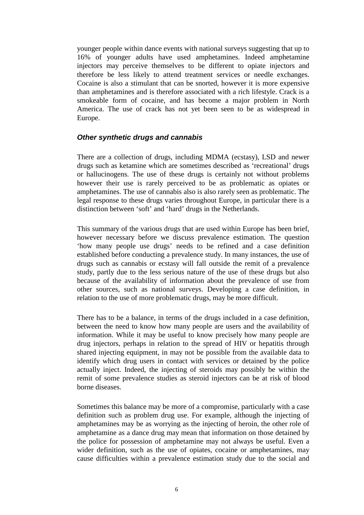younger people within dance events with national surveys suggesting that up to 16% of younger adults have used amphetamines. Indeed amphetamine injectors may perceive themselves to be different to opiate injectors and therefore be less likely to attend treatment services or needle exchanges. Cocaine is also a stimulant that can be snorted, however it is more expensive than amphetamines and is therefore associated with a rich lifestyle. Crack is a smokeable form of cocaine, and has become a major problem in North America. The use of crack has not yet been seen to be as widespread in Europe.

#### *Other synthetic drugs and cannabis*

There are a collection of drugs, including MDMA (ecstasy), LSD and newer drugs such as ketamine which are sometimes described as 'recreational' drugs or hallucinogens. The use of these drugs is certainly not without problems however their use is rarely perceived to be as problematic as opiates or amphetamines. The use of cannabis also is also rarely seen as problematic. The legal response to these drugs varies throughout Europe, in particular there is a distinction between 'soft' and 'hard' drugs in the Netherlands.

This summary of the various drugs that are used within Europe has been brief, however necessary before we discuss prevalence estimation. The question 'how many people use drugs' needs to be refined and a case definition established before conducting a prevalence study. In many instances, the use of drugs such as cannabis or ecstasy will fall outside the remit of a prevalence study, partly due to the less serious nature of the use of these drugs but also because of the availability of information about the prevalence of use from other sources, such as national surveys. Developing a case definition, in relation to the use of more problematic drugs, may be more difficult.

There has to be a balance, in terms of the drugs included in a case definition, between the need to know how many people are users and the availability of information. While it may be useful to know precisely how many people are drug injectors, perhaps in relation to the spread of HIV or hepatitis through shared injecting equipment, in may not be possible from the available data to identify which drug users in contact with services or detained by the police actually inject. Indeed, the injecting of steroids may possibly be within the remit of some prevalence studies as steroid injectors can be at risk of blood borne diseases.

Sometimes this balance may be more of a compromise, particularly with a case definition such as problem drug use. For example, although the injecting of amphetamines may be as worrying as the injecting of heroin, the other role of amphetamine as a dance drug may mean that information on those detained by the police for possession of amphetamine may not always be useful. Even a wider definition, such as the use of opiates, cocaine or amphetamines, may cause difficulties within a prevalence estimation study due to the social and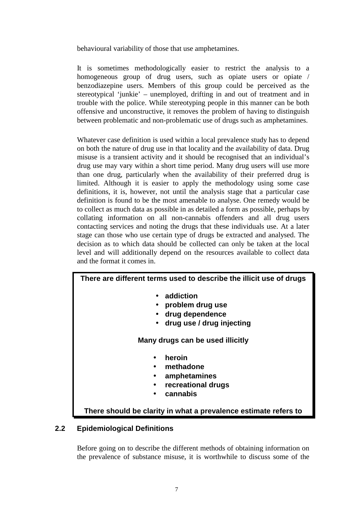behavioural variability of those that use amphetamines.

It is sometimes methodologically easier to restrict the analysis to a homogeneous group of drug users, such as opiate users or opiate / benzodiazepine users. Members of this group could be perceived as the stereotypical 'junkie' – unemployed, drifting in and out of treatment and in trouble with the police. While stereotyping people in this manner can be both offensive and unconstructive, it removes the problem of having to distinguish between problematic and non-problematic use of drugs such as amphetamines.

Whatever case definition is used within a local prevalence study has to depend on both the nature of drug use in that locality and the availability of data. Drug misuse is a transient activity and it should be recognised that an individual's drug use may vary within a short time period. Many drug users will use more than one drug, particularly when the availability of their preferred drug is limited. Although it is easier to apply the methodology using some case definitions, it is, however, not until the analysis stage that a particular case definition is found to be the most amenable to analyse. One remedy would be to collect as much data as possible in as detailed a form as possible, perhaps by collating information on all non-cannabis offenders and all drug users contacting services and noting the drugs that these individuals use. At a later stage can those who use certain type of drugs be extracted and analysed. The decision as to which data should be collected can only be taken at the local level and will additionally depend on the resources available to collect data and the format it comes in.

#### **There are different terms used to describe the illicit use of drugs**

- **addiction**
- **problem drug use**
- **drug dependence**
- **drug use / drug injecting**

#### **Many drugs can be used illicitly**

- **heroin**
- **methadone**
- **amphetamines**
- **recreational drugs**
- **cannabis**

**There should be clarity in what a prevalence estimate refers to**

#### **2.2 Epidemiological Definitions**

Before going on to describe the different methods of obtaining information on the prevalence of substance misuse, it is worthwhile to discuss some of the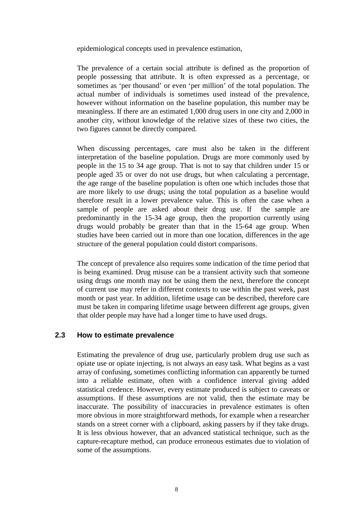epidemiological concepts used in prevalence estimation,

The prevalence of a certain social attribute is defined as the proportion of people possessing that attribute. It is often expressed as a percentage, or sometimes as 'per thousand' or even 'per million' of the total population. The actual number of individuals is sometimes used instead of the prevalence, however without information on the baseline population, this number may be meaningless. If there are an estimated 1,000 drug users in one city and 2,000 in another city, without knowledge of the relative sizes of these two cities, the two figures cannot be directly compared.

When discussing percentages, care must also be taken in the different interpretation of the baseline population. Drugs are more commonly used by people in the 15 to 34 age group. That is not to say that children under 15 or people aged 35 or over do not use drugs, but when calculating a percentage, the age range of the baseline population is often one which includes those that are more likely to use drugs; using the total population as a baseline would therefore result in a lower prevalence value. This is often the case when a sample of people are asked about their drug use. If the sample are predominantly in the 15-34 age group, then the proportion currently using drugs would probably be greater than that in the 15-64 age group. When studies have been carried out in more than one location, differences in the age structure of the general population could distort comparisons.

The concept of prevalence also requires some indication of the time period that is being examined. Drug misuse can be a transient activity such that someone using drugs one month may not be using them the next, therefore the concept of current use may refer in different contexts to use within the past week, past month or past year. In addition, lifetime usage can be described, therefore care must be taken in comparing lifetime usage between different age groups, given that older people may have had a longer time to have used drugs.

#### **2.3 How to estimate prevalence**

Estimating the prevalence of drug use, particularly problem drug use such as opiate use or opiate injecting, is not always an easy task. What begins as a vast array of confusing, sometimes conflicting information can apparently be turned into a reliable estimate, often with a confidence interval giving added statistical credence. However, every estimate produced is subject to caveats or assumptions. If these assumptions are not valid, then the estimate may be inaccurate. The possibility of inaccuracies in prevalence estimates is often more obvious in more straightforward methods, for example when a researcher stands on a street corner with a clipboard, asking passers by if they take drugs. It is less obvious however, that an advanced statistical technique, such as the capture-recapture method, can produce erroneous estimates due to violation of some of the assumptions.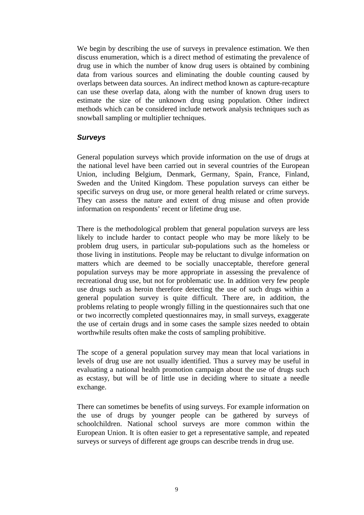We begin by describing the use of surveys in prevalence estimation. We then discuss enumeration, which is a direct method of estimating the prevalence of drug use in which the number of know drug users is obtained by combining data from various sources and eliminating the double counting caused by overlaps between data sources. An indirect method known as capture-recapture can use these overlap data, along with the number of known drug users to estimate the size of the unknown drug using population. Other indirect methods which can be considered include network analysis techniques such as snowball sampling or multiplier techniques.

#### *Surveys*

General population surveys which provide information on the use of drugs at the national level have been carried out in several countries of the European Union, including Belgium, Denmark, Germany, Spain, France, Finland, Sweden and the United Kingdom. These population surveys can either be specific surveys on drug use, or more general health related or crime surveys. They can assess the nature and extent of drug misuse and often provide information on respondents' recent or lifetime drug use.

There is the methodological problem that general population surveys are less likely to include harder to contact people who may be more likely to be problem drug users, in particular sub-populations such as the homeless or those living in institutions. People may be reluctant to divulge information on matters which are deemed to be socially unacceptable, therefore general population surveys may be more appropriate in assessing the prevalence of recreational drug use, but not for problematic use. In addition very few people use drugs such as heroin therefore detecting the use of such drugs within a general population survey is quite difficult. There are, in addition, the problems relating to people wrongly filling in the questionnaires such that one or two incorrectly completed questionnaires may, in small surveys, exaggerate the use of certain drugs and in some cases the sample sizes needed to obtain worthwhile results often make the costs of sampling prohibitive.

The scope of a general population survey may mean that local variations in levels of drug use are not usually identified. Thus a survey may be useful in evaluating a national health promotion campaign about the use of drugs such as ecstasy, but will be of little use in deciding where to situate a needle exchange.

There can sometimes be benefits of using surveys. For example information on the use of drugs by younger people can be gathered by surveys of schoolchildren. National school surveys are more common within the European Union. It is often easier to get a representative sample, and repeated surveys or surveys of different age groups can describe trends in drug use.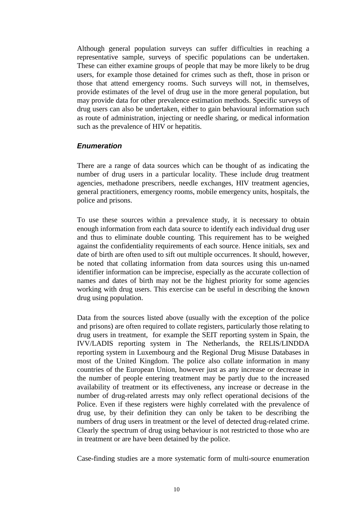Although general population surveys can suffer difficulties in reaching a representative sample, surveys of specific populations can be undertaken. These can either examine groups of people that may be more likely to be drug users, for example those detained for crimes such as theft, those in prison or those that attend emergency rooms. Such surveys will not, in themselves, provide estimates of the level of drug use in the more general population, but may provide data for other prevalence estimation methods. Specific surveys of drug users can also be undertaken, either to gain behavioural information such as route of administration, injecting or needle sharing, or medical information such as the prevalence of HIV or hepatitis.

#### *Enumeration*

There are a range of data sources which can be thought of as indicating the number of drug users in a particular locality. These include drug treatment agencies, methadone prescribers, needle exchanges, HIV treatment agencies, general practitioners, emergency rooms, mobile emergency units, hospitals, the police and prisons.

To use these sources within a prevalence study, it is necessary to obtain enough information from each data source to identify each individual drug user and thus to eliminate double counting. This requirement has to be weighed against the confidentiality requirements of each source. Hence initials, sex and date of birth are often used to sift out multiple occurrences. It should, however, be noted that collating information from data sources using this un-named identifier information can be imprecise, especially as the accurate collection of names and dates of birth may not be the highest priority for some agencies working with drug users. This exercise can be useful in describing the known drug using population.

Data from the sources listed above (usually with the exception of the police and prisons) are often required to collate registers, particularly those relating to drug users in treatment, for example the SEIT reporting system in Spain, the IVV/LADIS reporting system in The Netherlands, the RELIS/LINDDA reporting system in Luxembourg and the Regional Drug Misuse Databases in most of the United Kingdom. The police also collate information in many countries of the European Union, however just as any increase or decrease in the number of people entering treatment may be partly due to the increased availability of treatment or its effectiveness, any increase or decrease in the number of drug-related arrests may only reflect operational decisions of the Police. Even if these registers were highly correlated with the prevalence of drug use, by their definition they can only be taken to be describing the numbers of drug users in treatment or the level of detected drug-related crime. Clearly the spectrum of drug using behaviour is not restricted to those who are in treatment or are have been detained by the police.

Case-finding studies are a more systematic form of multi-source enumeration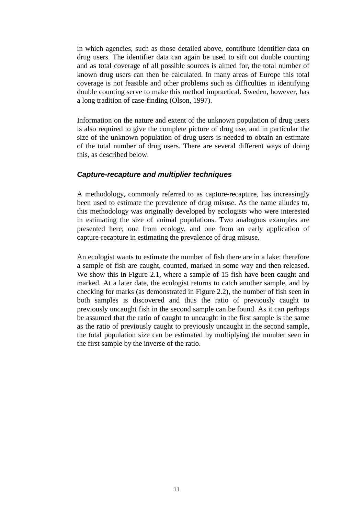in which agencies, such as those detailed above, contribute identifier data on drug users. The identifier data can again be used to sift out double counting and as total coverage of all possible sources is aimed for, the total number of known drug users can then be calculated. In many areas of Europe this total coverage is not feasible and other problems such as difficulties in identifying double counting serve to make this method impractical. Sweden, however, has a long tradition of case-finding (Olson, 1997).

Information on the nature and extent of the unknown population of drug users is also required to give the complete picture of drug use, and in particular the size of the unknown population of drug users is needed to obtain an estimate of the total number of drug users. There are several different ways of doing this, as described below.

#### *Capture-recapture and multiplier techniques*

A methodology, commonly referred to as capture-recapture, has increasingly been used to estimate the prevalence of drug misuse. As the name alludes to, this methodology was originally developed by ecologists who were interested in estimating the size of animal populations. Two analogous examples are presented here; one from ecology, and one from an early application of capture-recapture in estimating the prevalence of drug misuse.

An ecologist wants to estimate the number of fish there are in a lake: therefore a sample of fish are caught, counted, marked in some way and then released. We show this in Figure 2.1, where a sample of 15 fish have been caught and marked. At a later date, the ecologist returns to catch another sample, and by checking for marks (as demonstrated in Figure 2.2), the number of fish seen in both samples is discovered and thus the ratio of previously caught to previously uncaught fish in the second sample can be found. As it can perhaps be assumed that the ratio of caught to uncaught in the first sample is the same as the ratio of previously caught to previously uncaught in the second sample, the total population size can be estimated by multiplying the number seen in the first sample by the inverse of the ratio.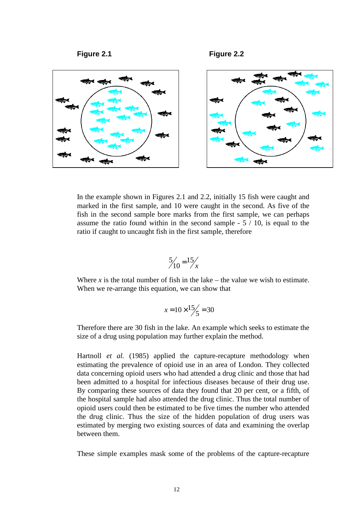

In the example shown in Figures 2.1 and 2.2, initially 15 fish were caught and marked in the first sample, and 10 were caught in the second. As five of the fish in the second sample bore marks from the first sample, we can perhaps assume the ratio found within in the second sample - 5 / 10, is equal to the ratio if caught to uncaught fish in the first sample, therefore

$$
\frac{5}{10} = \frac{15}{x}
$$

Where  $x$  is the total number of fish in the lake – the value we wish to estimate. When we re-arrange this equation, we can show that

$$
x = 10 \times \frac{15}{5} = 30
$$

Therefore there are 30 fish in the lake. An example which seeks to estimate the size of a drug using population may further explain the method.

Hartnoll *et al.* (1985) applied the capture-recapture methodology when estimating the prevalence of opioid use in an area of London. They collected data concerning opioid users who had attended a drug clinic and those that had been admitted to a hospital for infectious diseases because of their drug use. By comparing these sources of data they found that 20 per cent, or a fifth, of the hospital sample had also attended the drug clinic. Thus the total number of opioid users could then be estimated to be five times the number who attended the drug clinic. Thus the size of the hidden population of drug users was estimated by merging two existing sources of data and examining the overlap between them.

These simple examples mask some of the problems of the capture-recapture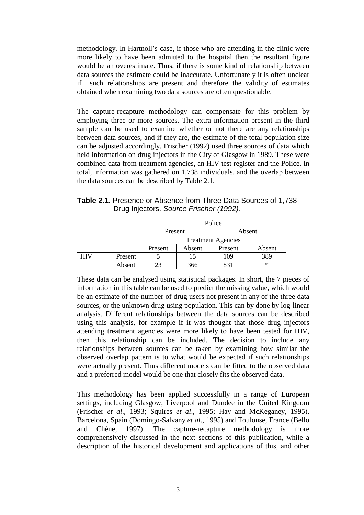methodology. In Hartnoll's case, if those who are attending in the clinic were more likely to have been admitted to the hospital then the resultant figure would be an overestimate. Thus, if there is some kind of relationship between data sources the estimate could be inaccurate. Unfortunately it is often unclear if such relationships are present and therefore the validity of estimates obtained when examining two data sources are often questionable.

The capture-recapture methodology can compensate for this problem by employing three or more sources. The extra information present in the third sample can be used to examine whether or not there are any relationships between data sources, and if they are, the estimate of the total population size can be adjusted accordingly. Frischer (1992) used three sources of data which held information on drug injectors in the City of Glasgow in 1989. These were combined data from treatment agencies, an HIV test register and the Police. In total, information was gathered on 1,738 individuals, and the overlap between the data sources can be described by Table 2.1.

**Table 2.1**. Presence or Absence from Three Data Sources of 1,738 Drug Injectors. *Source Frischer (1992).*

|            |         | Police                    |        |         |        |  |  |
|------------|---------|---------------------------|--------|---------|--------|--|--|
|            |         | Present                   |        | Absent  |        |  |  |
|            |         | <b>Treatment Agencies</b> |        |         |        |  |  |
|            |         | Present                   | Absent | Present | Absent |  |  |
| <b>HIV</b> | Present |                           |        | 109     | 389    |  |  |
|            | Absent  |                           | 366    |         | ∗      |  |  |

These data can be analysed using statistical packages. In short, the 7 pieces of information in this table can be used to predict the missing value, which would be an estimate of the number of drug users not present in any of the three data sources, or the unknown drug using population. This can by done by log-linear analysis. Different relationships between the data sources can be described using this analysis, for example if it was thought that those drug injectors attending treatment agencies were more likely to have been tested for HIV, then this relationship can be included. The decision to include any relationships between sources can be taken by examining how similar the observed overlap pattern is to what would be expected if such relationships were actually present. Thus different models can be fitted to the observed data and a preferred model would be one that closely fits the observed data.

This methodology has been applied successfully in a range of European settings, including Glasgow, Liverpool and Dundee in the United Kingdom (Frischer *et al*., 1993; Squires *et al*., 1995; Hay and McKeganey, 1995), Barcelona, Spain (Domingo-Salvany *et al*., 1995) and Toulouse, France (Bello and Chêne, 1997). The capture-recapture methodology is more comprehensively discussed in the next sections of this publication, while a description of the historical development and applications of this, and other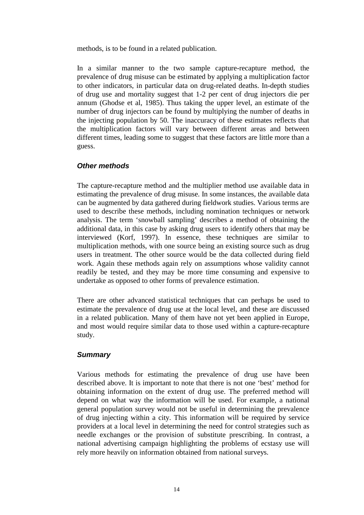methods, is to be found in a related publication.

In a similar manner to the two sample capture-recapture method, the prevalence of drug misuse can be estimated by applying a multiplication factor to other indicators, in particular data on drug-related deaths. In-depth studies of drug use and mortality suggest that 1-2 per cent of drug injectors die per annum (Ghodse et al, 1985). Thus taking the upper level, an estimate of the number of drug injectors can be found by multiplying the number of deaths in the injecting population by 50. The inaccuracy of these estimates reflects that the multiplication factors will vary between different areas and between different times, leading some to suggest that these factors are little more than a guess.

#### *Other methods*

The capture-recapture method and the multiplier method use available data in estimating the prevalence of drug misuse. In some instances, the available data can be augmented by data gathered during fieldwork studies. Various terms are used to describe these methods, including nomination techniques or network analysis. The term 'snowball sampling' describes a method of obtaining the additional data, in this case by asking drug users to identify others that may be interviewed (Korf, 1997). In essence, these techniques are similar to multiplication methods, with one source being an existing source such as drug users in treatment. The other source would be the data collected during field work. Again these methods again rely on assumptions whose validity cannot readily be tested, and they may be more time consuming and expensive to undertake as opposed to other forms of prevalence estimation.

There are other advanced statistical techniques that can perhaps be used to estimate the prevalence of drug use at the local level, and these are discussed in a related publication. Many of them have not yet been applied in Europe, and most would require similar data to those used within a capture-recapture study.

#### *Summary*

Various methods for estimating the prevalence of drug use have been described above. It is important to note that there is not one 'best' method for obtaining information on the extent of drug use. The preferred method will depend on what way the information will be used. For example, a national general population survey would not be useful in determining the prevalence of drug injecting within a city. This information will be required by service providers at a local level in determining the need for control strategies such as needle exchanges or the provision of substitute prescribing. In contrast, a national advertising campaign highlighting the problems of ecstasy use will rely more heavily on information obtained from national surveys.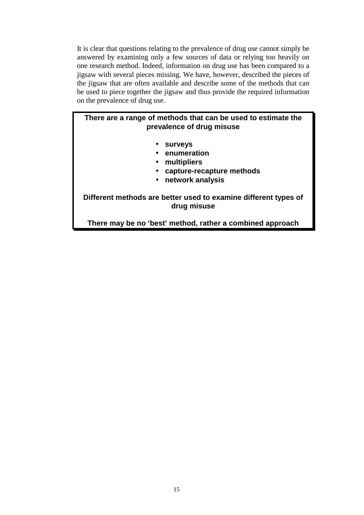It is clear that questions relating to the prevalence of drug use cannot simply be answered by examining only a few sources of data or relying too heavily on one research method. Indeed, information on drug use has been compared to a jigsaw with several pieces missing. We have, however, described the pieces of the jigsaw that are often available and describe some of the methods that can be used to piece together the jigsaw and thus provide the required information on the prevalence of drug use.

#### **There are a range of methods that can be used to estimate the prevalence of drug misuse**

- **surveys**
- **enumeration**
- **multipliers**
- **capture-recapture methods**
- **network analysis**

**Different methods are better used to examine different types of drug misuse** 

**There may be no 'best' method, rather a combined approach**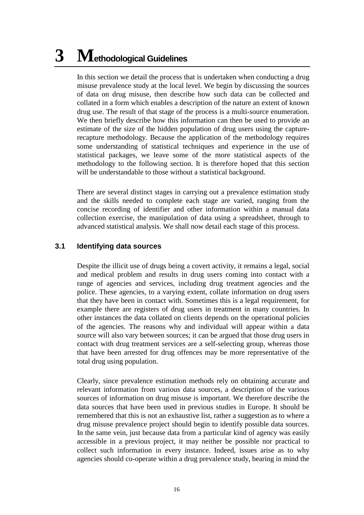# **3 Methodological Guidelines**

In this section we detail the process that is undertaken when conducting a drug misuse prevalence study at the local level. We begin by discussing the sources of data on drug misuse, then describe how such data can be collected and collated in a form which enables a description of the nature an extent of known drug use. The result of that stage of the process is a multi-source enumeration. We then briefly describe how this information can then be used to provide an estimate of the size of the hidden population of drug users using the capturerecapture methodology. Because the application of the methodology requires some understanding of statistical techniques and experience in the use of statistical packages, we leave some of the more statistical aspects of the methodology to the following section. It is therefore hoped that this section will be understandable to those without a statistical background.

There are several distinct stages in carrying out a prevalence estimation study and the skills needed to complete each stage are varied, ranging from the concise recording of identifier and other information within a manual data collection exercise, the manipulation of data using a spreadsheet, through to advanced statistical analysis. We shall now detail each stage of this process.

#### **3.1 Identifying data sources**

Despite the illicit use of drugs being a covert activity, it remains a legal, social and medical problem and results in drug users coming into contact with a range of agencies and services, including drug treatment agencies and the police. These agencies, to a varying extent, collate information on drug users that they have been in contact with. Sometimes this is a legal requirement, for example there are registers of drug users in treatment in many countries. In other instances the data collated on clients depends on the operational policies of the agencies. The reasons why and individual will appear within a data source will also vary between sources; it can be argued that those drug users in contact with drug treatment services are a self-selecting group, whereas those that have been arrested for drug offences may be more representative of the total drug using population.

Clearly, since prevalence estimation methods rely on obtaining accurate and relevant information from various data sources, a description of the various sources of information on drug misuse is important. We therefore describe the data sources that have been used in previous studies in Europe. It should be remembered that this is not an exhaustive list, rather a suggestion as to where a drug misuse prevalence project should begin to identify possible data sources. In the same vein, just because data from a particular kind of agency was easily accessible in a previous project, it may neither be possible nor practical to collect such information in every instance. Indeed, issues arise as to why agencies should co-operate within a drug prevalence study, bearing in mind the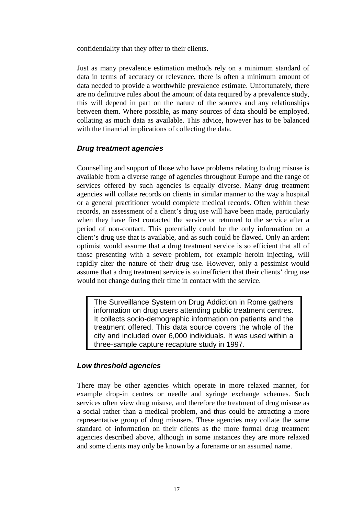confidentiality that they offer to their clients.

Just as many prevalence estimation methods rely on a minimum standard of data in terms of accuracy or relevance, there is often a minimum amount of data needed to provide a worthwhile prevalence estimate. Unfortunately, there are no definitive rules about the amount of data required by a prevalence study, this will depend in part on the nature of the sources and any relationships between them. Where possible, as many sources of data should be employed, collating as much data as available. This advice, however has to be balanced with the financial implications of collecting the data.

#### *Drug treatment agencies*

Counselling and support of those who have problems relating to drug misuse is available from a diverse range of agencies throughout Europe and the range of services offered by such agencies is equally diverse. Many drug treatment agencies will collate records on clients in similar manner to the way a hospital or a general practitioner would complete medical records. Often within these records, an assessment of a client's drug use will have been made, particularly when they have first contacted the service or returned to the service after a period of non-contact. This potentially could be the only information on a client's drug use that is available, and as such could be flawed. Only an ardent optimist would assume that a drug treatment service is so efficient that all of those presenting with a severe problem, for example heroin injecting, will rapidly alter the nature of their drug use. However, only a pessimist would assume that a drug treatment service is so inefficient that their clients' drug use would not change during their time in contact with the service.

The Surveillance System on Drug Addiction in Rome gathers information on drug users attending public treatment centres. It collects socio-demographic information on patients and the treatment offered. This data source covers the whole of the city and included over 6,000 individuals. It was used within a three-sample capture recapture study in 1997.

#### *Low threshold agencies*

There may be other agencies which operate in more relaxed manner, for example drop-in centres or needle and syringe exchange schemes. Such services often view drug misuse, and therefore the treatment of drug misuse as a social rather than a medical problem, and thus could be attracting a more representative group of drug misusers. These agencies may collate the same standard of information on their clients as the more formal drug treatment agencies described above, although in some instances they are more relaxed and some clients may only be known by a forename or an assumed name.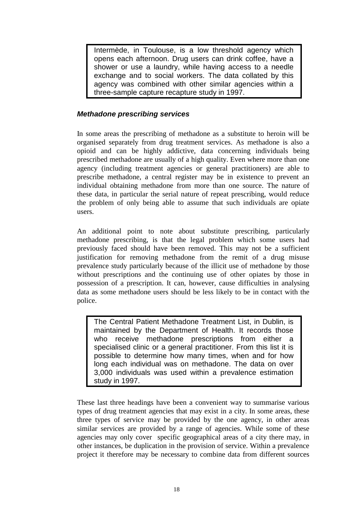Intermède, in Toulouse, is a low threshold agency which opens each afternoon. Drug users can drink coffee, have a shower or use a laundry, while having access to a needle exchange and to social workers. The data collated by this agency was combined with other similar agencies within a three-sample capture recapture study in 1997.

#### *Methadone prescribing services*

In some areas the prescribing of methadone as a substitute to heroin will be organised separately from drug treatment services. As methadone is also a opioid and can be highly addictive, data concerning individuals being prescribed methadone are usually of a high quality. Even where more than one agency (including treatment agencies or general practitioners) are able to prescribe methadone, a central register may be in existence to prevent an individual obtaining methadone from more than one source. The nature of these data, in particular the serial nature of repeat prescribing, would reduce the problem of only being able to assume that such individuals are opiate users.

An additional point to note about substitute prescribing, particularly methadone prescribing, is that the legal problem which some users had previously faced should have been removed. This may not be a sufficient justification for removing methadone from the remit of a drug misuse prevalence study particularly because of the illicit use of methadone by those without prescriptions and the continuing use of other opiates by those in possession of a prescription. It can, however, cause difficulties in analysing data as some methadone users should be less likely to be in contact with the police.

The Central Patient Methadone Treatment List, in Dublin, is maintained by the Department of Health. It records those who receive methadone prescriptions from either a specialised clinic or a general practitioner. From this list it is possible to determine how many times, when and for how long each individual was on methadone. The data on over 3,000 individuals was used within a prevalence estimation study in 1997.

These last three headings have been a convenient way to summarise various types of drug treatment agencies that may exist in a city. In some areas, these three types of service may be provided by the one agency, in other areas similar services are provided by a range of agencies. While some of these agencies may only cover specific geographical areas of a city there may, in other instances, be duplication in the provision of service. Within a prevalence project it therefore may be necessary to combine data from different sources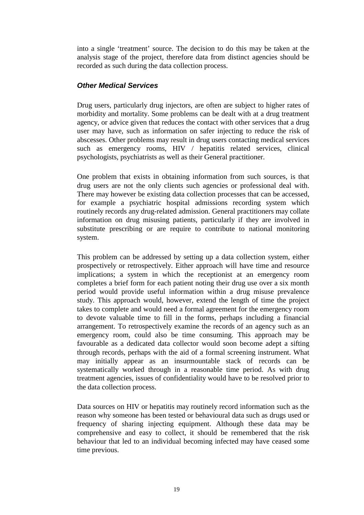into a single 'treatment' source. The decision to do this may be taken at the analysis stage of the project, therefore data from distinct agencies should be recorded as such during the data collection process.

#### *Other Medical Services*

Drug users, particularly drug injectors, are often are subject to higher rates of morbidity and mortality. Some problems can be dealt with at a drug treatment agency, or advice given that reduces the contact with other services that a drug user may have, such as information on safer injecting to reduce the risk of abscesses. Other problems may result in drug users contacting medical services such as emergency rooms, HIV / hepatitis related services, clinical psychologists, psychiatrists as well as their General practitioner.

One problem that exists in obtaining information from such sources, is that drug users are not the only clients such agencies or professional deal with. There may however be existing data collection processes that can be accessed, for example a psychiatric hospital admissions recording system which routinely records any drug-related admission. General practitioners may collate information on drug misusing patients, particularly if they are involved in substitute prescribing or are require to contribute to national monitoring system.

This problem can be addressed by setting up a data collection system, either prospectively or retrospectively. Either approach will have time and resource implications; a system in which the receptionist at an emergency room completes a brief form for each patient noting their drug use over a six month period would provide useful information within a drug misuse prevalence study. This approach would, however, extend the length of time the project takes to complete and would need a formal agreement for the emergency room to devote valuable time to fill in the forms, perhaps including a financial arrangement. To retrospectively examine the records of an agency such as an emergency room, could also be time consuming. This approach may be favourable as a dedicated data collector would soon become adept a sifting through records, perhaps with the aid of a formal screening instrument. What may initially appear as an insurmountable stack of records can be systematically worked through in a reasonable time period. As with drug treatment agencies, issues of confidentiality would have to be resolved prior to the data collection process.

Data sources on HIV or hepatitis may routinely record information such as the reason why someone has been tested or behavioural data such as drugs used or frequency of sharing injecting equipment. Although these data may be comprehensive and easy to collect, it should be remembered that the risk behaviour that led to an individual becoming infected may have ceased some time previous.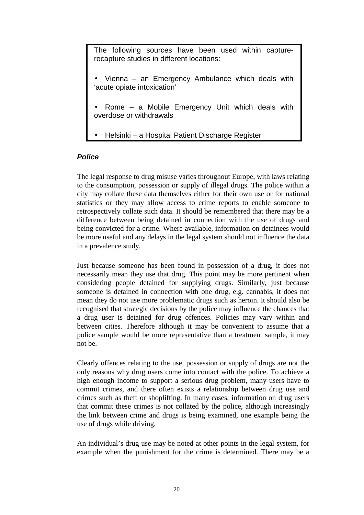The following sources have been used within capturerecapture studies in different locations:

- Vienna an Emergency Ambulance which deals with 'acute opiate intoxication'
- Rome a Mobile Emergency Unit which deals with overdose or withdrawals
- Helsinki a Hospital Patient Discharge Register

#### *Police*

The legal response to drug misuse varies throughout Europe, with laws relating to the consumption, possession or supply of illegal drugs. The police within a city may collate these data themselves either for their own use or for national statistics or they may allow access to crime reports to enable someone to retrospectively collate such data. It should be remembered that there may be a difference between being detained in connection with the use of drugs and being convicted for a crime. Where available, information on detainees would be more useful and any delays in the legal system should not influence the data in a prevalence study.

Just because someone has been found in possession of a drug, it does not necessarily mean they use that drug. This point may be more pertinent when considering people detained for supplying drugs. Similarly, just because someone is detained in connection with one drug, e.g. cannabis, it does not mean they do not use more problematic drugs such as heroin. It should also be recognised that strategic decisions by the police may influence the chances that a drug user is detained for drug offences. Policies may vary within and between cities. Therefore although it may be convenient to assume that a police sample would be more representative than a treatment sample, it may not be.

Clearly offences relating to the use, possession or supply of drugs are not the only reasons why drug users come into contact with the police. To achieve a high enough income to support a serious drug problem, many users have to commit crimes, and there often exists a relationship between drug use and crimes such as theft or shoplifting. In many cases, information on drug users that commit these crimes is not collated by the police, although increasingly the link between crime and drugs is being examined, one example being the use of drugs while driving.

An individual's drug use may be noted at other points in the legal system, for example when the punishment for the crime is determined. There may be a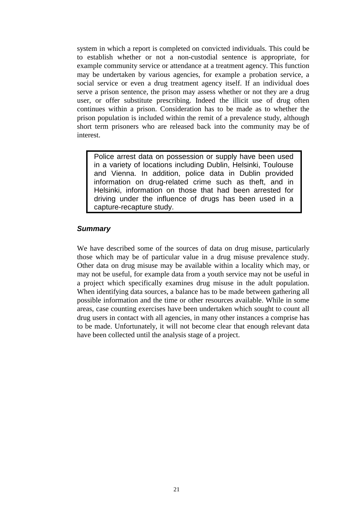system in which a report is completed on convicted individuals. This could be to establish whether or not a non-custodial sentence is appropriate, for example community service or attendance at a treatment agency. This function may be undertaken by various agencies, for example a probation service, a social service or even a drug treatment agency itself. If an individual does serve a prison sentence, the prison may assess whether or not they are a drug user, or offer substitute prescribing. Indeed the illicit use of drug often continues within a prison. Consideration has to be made as to whether the prison population is included within the remit of a prevalence study, although short term prisoners who are released back into the community may be of interest.

Police arrest data on possession or supply have been used in a variety of locations including Dublin, Helsinki, Toulouse and Vienna. In addition, police data in Dublin provided information on drug-related crime such as theft, and in Helsinki, information on those that had been arrested for driving under the influence of drugs has been used in a capture-recapture study.

#### *Summary*

We have described some of the sources of data on drug misuse, particularly those which may be of particular value in a drug misuse prevalence study. Other data on drug misuse may be available within a locality which may, or may not be useful, for example data from a youth service may not be useful in a project which specifically examines drug misuse in the adult population. When identifying data sources, a balance has to be made between gathering all possible information and the time or other resources available. While in some areas, case counting exercises have been undertaken which sought to count all drug users in contact with all agencies, in many other instances a comprise has to be made. Unfortunately, it will not become clear that enough relevant data have been collected until the analysis stage of a project.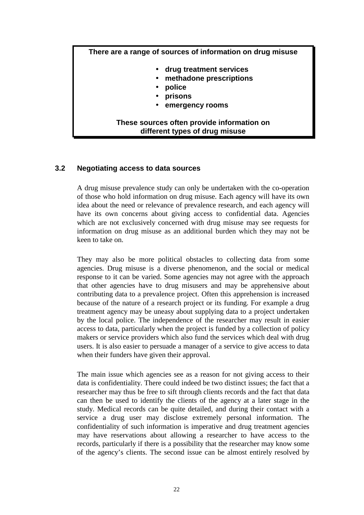#### **There are a range of sources of information on drug misuse**

- **drug treatment services**
- **methadone prescriptions** 
	- **police**
- **prisons**
- **emergency rooms**

#### **These sources often provide information on different types of drug misuse**

#### **3.2 Negotiating access to data sources**

A drug misuse prevalence study can only be undertaken with the co-operation of those who hold information on drug misuse. Each agency will have its own idea about the need or relevance of prevalence research, and each agency will have its own concerns about giving access to confidential data. Agencies which are not exclusively concerned with drug misuse may see requests for information on drug misuse as an additional burden which they may not be keen to take on.

They may also be more political obstacles to collecting data from some agencies. Drug misuse is a diverse phenomenon, and the social or medical response to it can be varied. Some agencies may not agree with the approach that other agencies have to drug misusers and may be apprehensive about contributing data to a prevalence project. Often this apprehension is increased because of the nature of a research project or its funding. For example a drug treatment agency may be uneasy about supplying data to a project undertaken by the local police. The independence of the researcher may result in easier access to data, particularly when the project is funded by a collection of policy makers or service providers which also fund the services which deal with drug users. It is also easier to persuade a manager of a service to give access to data when their funders have given their approval.

The main issue which agencies see as a reason for not giving access to their data is confidentiality. There could indeed be two distinct issues; the fact that a researcher may thus be free to sift through clients records and the fact that data can then be used to identify the clients of the agency at a later stage in the study. Medical records can be quite detailed, and during their contact with a service a drug user may disclose extremely personal information. The confidentiality of such information is imperative and drug treatment agencies may have reservations about allowing a researcher to have access to the records, particularly if there is a possibility that the researcher may know some of the agency's clients. The second issue can be almost entirely resolved by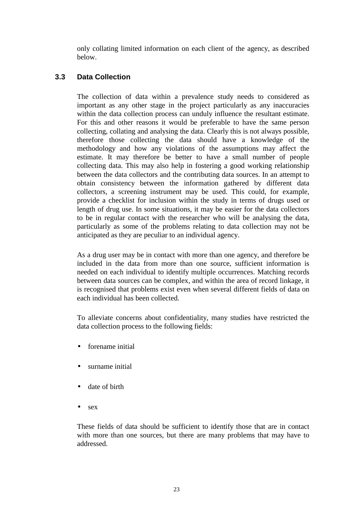only collating limited information on each client of the agency, as described below.

#### **3.3 Data Collection**

The collection of data within a prevalence study needs to considered as important as any other stage in the project particularly as any inaccuracies within the data collection process can unduly influence the resultant estimate. For this and other reasons it would be preferable to have the same person collecting, collating and analysing the data. Clearly this is not always possible, therefore those collecting the data should have a knowledge of the methodology and how any violations of the assumptions may affect the estimate. It may therefore be better to have a small number of people collecting data. This may also help in fostering a good working relationship between the data collectors and the contributing data sources. In an attempt to obtain consistency between the information gathered by different data collectors, a screening instrument may be used. This could, for example, provide a checklist for inclusion within the study in terms of drugs used or length of drug use. In some situations, it may be easier for the data collectors to be in regular contact with the researcher who will be analysing the data, particularly as some of the problems relating to data collection may not be anticipated as they are peculiar to an individual agency.

As a drug user may be in contact with more than one agency, and therefore be included in the data from more than one source, sufficient information is needed on each individual to identify multiple occurrences. Matching records between data sources can be complex, and within the area of record linkage, it is recognised that problems exist even when several different fields of data on each individual has been collected.

To alleviate concerns about confidentiality, many studies have restricted the data collection process to the following fields:

- forename initial
- surname initial
- date of birth
- sex

These fields of data should be sufficient to identify those that are in contact with more than one sources, but there are many problems that may have to addressed.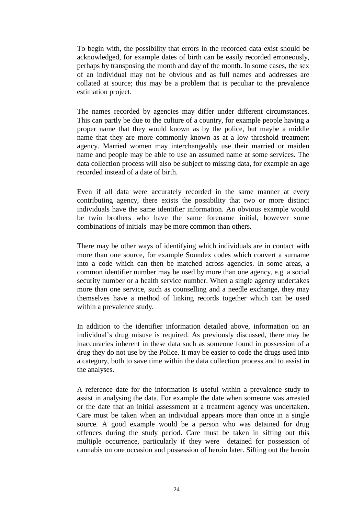To begin with, the possibility that errors in the recorded data exist should be acknowledged, for example dates of birth can be easily recorded erroneously, perhaps by transposing the month and day of the month. In some cases, the sex of an individual may not be obvious and as full names and addresses are collated at source; this may be a problem that is peculiar to the prevalence estimation project.

The names recorded by agencies may differ under different circumstances. This can partly be due to the culture of a country, for example people having a proper name that they would known as by the police, but maybe a middle name that they are more commonly known as at a low threshold treatment agency. Married women may interchangeably use their married or maiden name and people may be able to use an assumed name at some services. The data collection process will also be subject to missing data, for example an age recorded instead of a date of birth.

Even if all data were accurately recorded in the same manner at every contributing agency, there exists the possibility that two or more distinct individuals have the same identifier information. An obvious example would be twin brothers who have the same forename initial, however some combinations of initials may be more common than others.

There may be other ways of identifying which individuals are in contact with more than one source, for example Soundex codes which convert a surname into a code which can then be matched across agencies. In some areas, a common identifier number may be used by more than one agency, e.g. a social security number or a health service number. When a single agency undertakes more than one service, such as counselling and a needle exchange, they may themselves have a method of linking records together which can be used within a prevalence study.

In addition to the identifier information detailed above, information on an individual's drug misuse is required. As previously discussed, there may be inaccuracies inherent in these data such as someone found in possession of a drug they do not use by the Police. It may be easier to code the drugs used into a category, both to save time within the data collection process and to assist in the analyses.

A reference date for the information is useful within a prevalence study to assist in analysing the data. For example the date when someone was arrested or the date that an initial assessment at a treatment agency was undertaken. Care must be taken when an individual appears more than once in a single source. A good example would be a person who was detained for drug offences during the study period. Care must be taken in sifting out this multiple occurrence, particularly if they were detained for possession of cannabis on one occasion and possession of heroin later. Sifting out the heroin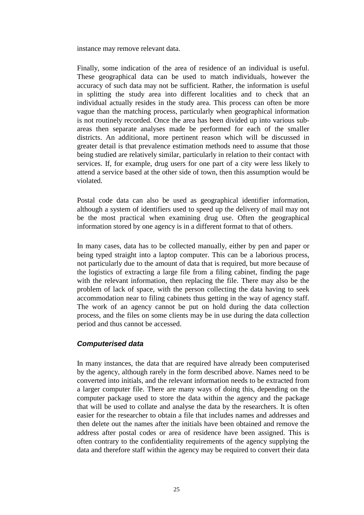instance may remove relevant data.

Finally, some indication of the area of residence of an individual is useful. These geographical data can be used to match individuals, however the accuracy of such data may not be sufficient. Rather, the information is useful in splitting the study area into different localities and to check that an individual actually resides in the study area. This process can often be more vague than the matching process, particularly when geographical information is not routinely recorded. Once the area has been divided up into various subareas then separate analyses made be performed for each of the smaller districts. An additional, more pertinent reason which will be discussed in greater detail is that prevalence estimation methods need to assume that those being studied are relatively similar, particularly in relation to their contact with services. If, for example, drug users for one part of a city were less likely to attend a service based at the other side of town, then this assumption would be violated.

Postal code data can also be used as geographical identifier information, although a system of identifiers used to speed up the delivery of mail may not be the most practical when examining drug use. Often the geographical information stored by one agency is in a different format to that of others.

In many cases, data has to be collected manually, either by pen and paper or being typed straight into a laptop computer. This can be a laborious process, not particularly due to the amount of data that is required, but more because of the logistics of extracting a large file from a filing cabinet, finding the page with the relevant information, then replacing the file. There may also be the problem of lack of space, with the person collecting the data having to seek accommodation near to filing cabinets thus getting in the way of agency staff. The work of an agency cannot be put on hold during the data collection process, and the files on some clients may be in use during the data collection period and thus cannot be accessed.

#### *Computerised data*

In many instances, the data that are required have already been computerised by the agency, although rarely in the form described above. Names need to be converted into initials, and the relevant information needs to be extracted from a larger computer file. There are many ways of doing this, depending on the computer package used to store the data within the agency and the package that will be used to collate and analyse the data by the researchers. It is often easier for the researcher to obtain a file that includes names and addresses and then delete out the names after the initials have been obtained and remove the address after postal codes or area of residence have been assigned. This is often contrary to the confidentiality requirements of the agency supplying the data and therefore staff within the agency may be required to convert their data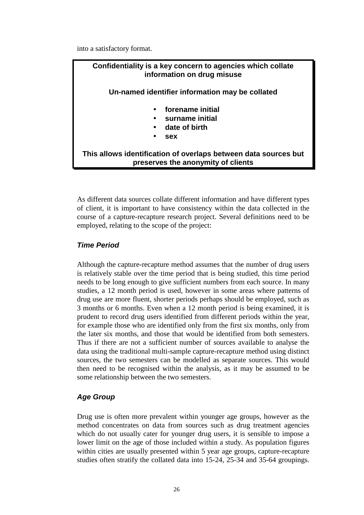into a satisfactory format.

### **Confidentiality is a key concern to agencies which collate information on drug misuse Un-named identifier information may be collated**  • **forename initial**  • **surname initial**  • **date of birth**  • **sex This allows identification of overlaps between data sources but preserves the anonymity of clients**

As different data sources collate different information and have different types of client, it is important to have consistency within the data collected in the course of a capture-recapture research project. Several definitions need to be employed, relating to the scope of the project:

#### *Time Period*

Although the capture-recapture method assumes that the number of drug users is relatively stable over the time period that is being studied, this time period needs to be long enough to give sufficient numbers from each source. In many studies, a 12 month period is used, however in some areas where patterns of drug use are more fluent, shorter periods perhaps should be employed, such as 3 months or 6 months. Even when a 12 month period is being examined, it is prudent to record drug users identified from different periods within the year, for example those who are identified only from the first six months, only from the later six months, and those that would be identified from both semesters. Thus if there are not a sufficient number of sources available to analyse the data using the traditional multi-sample capture-recapture method using distinct sources, the two semesters can be modelled as separate sources. This would then need to be recognised within the analysis, as it may be assumed to be some relationship between the two semesters.

#### *Age Group*

Drug use is often more prevalent within younger age groups, however as the method concentrates on data from sources such as drug treatment agencies which do not usually cater for younger drug users, it is sensible to impose a lower limit on the age of those included within a study. As population figures within cities are usually presented within 5 year age groups, capture-recapture studies often stratify the collated data into 15-24, 25-34 and 35-64 groupings.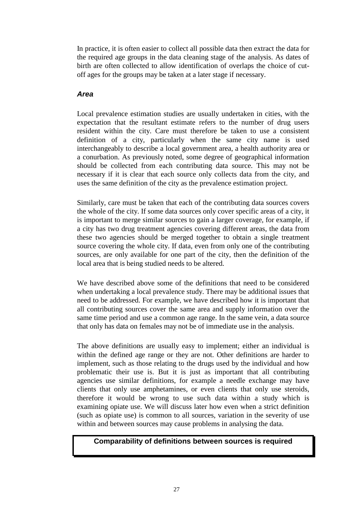In practice, it is often easier to collect all possible data then extract the data for the required age groups in the data cleaning stage of the analysis. As dates of birth are often collected to allow identification of overlaps the choice of cutoff ages for the groups may be taken at a later stage if necessary.

#### *Area*

Local prevalence estimation studies are usually undertaken in cities, with the expectation that the resultant estimate refers to the number of drug users resident within the city. Care must therefore be taken to use a consistent definition of a city, particularly when the same city name is used interchangeably to describe a local government area, a health authority area or a conurbation. As previously noted, some degree of geographical information should be collected from each contributing data source. This may not be necessary if it is clear that each source only collects data from the city, and uses the same definition of the city as the prevalence estimation project.

Similarly, care must be taken that each of the contributing data sources covers the whole of the city. If some data sources only cover specific areas of a city, it is important to merge similar sources to gain a larger coverage, for example, if a city has two drug treatment agencies covering different areas, the data from these two agencies should be merged together to obtain a single treatment source covering the whole city. If data, even from only one of the contributing sources, are only available for one part of the city, then the definition of the local area that is being studied needs to be altered.

We have described above some of the definitions that need to be considered when undertaking a local prevalence study. There may be additional issues that need to be addressed. For example, we have described how it is important that all contributing sources cover the same area and supply information over the same time period and use a common age range. In the same vein, a data source that only has data on females may not be of immediate use in the analysis.

The above definitions are usually easy to implement; either an individual is within the defined age range or they are not. Other definitions are harder to implement, such as those relating to the drugs used by the individual and how problematic their use is. But it is just as important that all contributing agencies use similar definitions, for example a needle exchange may have clients that only use amphetamines, or even clients that only use steroids, therefore it would be wrong to use such data within a study which is examining opiate use. We will discuss later how even when a strict definition (such as opiate use) is common to all sources, variation in the severity of use within and between sources may cause problems in analysing the data.

#### **Comparability of definitions between sources is required**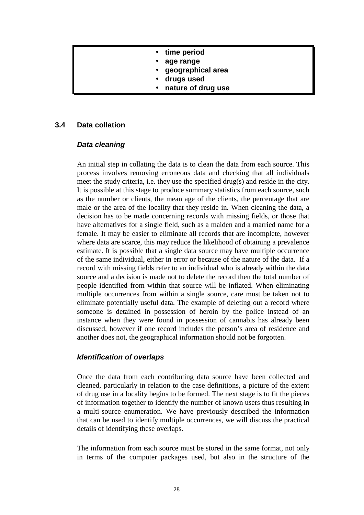- **time period**
- **age range**
- **geographical area**
- **drugs used**
- **nature of drug use**

#### **3.4 Data collation**

#### *Data cleaning*

An initial step in collating the data is to clean the data from each source. This process involves removing erroneous data and checking that all individuals meet the study criteria, i.e. they use the specified drug(s) and reside in the city. It is possible at this stage to produce summary statistics from each source, such as the number or clients, the mean age of the clients, the percentage that are male or the area of the locality that they reside in. When cleaning the data, a decision has to be made concerning records with missing fields, or those that have alternatives for a single field, such as a maiden and a married name for a female. It may be easier to eliminate all records that are incomplete, however where data are scarce, this may reduce the likelihood of obtaining a prevalence estimate. It is possible that a single data source may have multiple occurrence of the same individual, either in error or because of the nature of the data. If a record with missing fields refer to an individual who is already within the data source and a decision is made not to delete the record then the total number of people identified from within that source will be inflated. When eliminating multiple occurrences from within a single source, care must be taken not to eliminate potentially useful data. The example of deleting out a record where someone is detained in possession of heroin by the police instead of an instance when they were found in possession of cannabis has already been discussed, however if one record includes the person's area of residence and another does not, the geographical information should not be forgotten.

#### *Identification of overlaps*

Once the data from each contributing data source have been collected and cleaned, particularly in relation to the case definitions, a picture of the extent of drug use in a locality begins to be formed. The next stage is to fit the pieces of information together to identify the number of known users thus resulting in a multi-source enumeration. We have previously described the information that can be used to identify multiple occurrences, we will discuss the practical details of identifying these overlaps.

The information from each source must be stored in the same format, not only in terms of the computer packages used, but also in the structure of the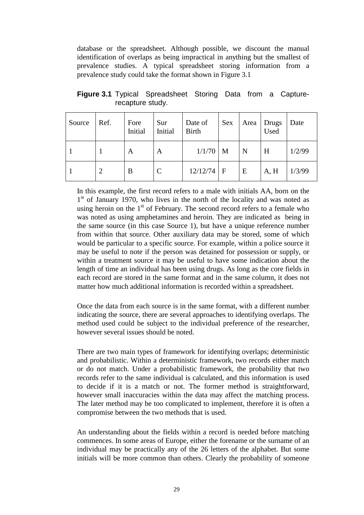database or the spreadsheet. Although possible, we discount the manual identification of overlaps as being impractical in anything but the smallest of prevalence studies. A typical spreadsheet storing information from a prevalence study could take the format shown in Figure 3.1

| Source | Ref. | Fore<br>Initial | Sur<br>Initial | Date of<br><b>Birth</b> | Sex |   | Area Drugs<br>Used | Date   |
|--------|------|-----------------|----------------|-------------------------|-----|---|--------------------|--------|
|        |      | A               | A              | 1/1/70                  | M   | N | H                  | 1/2/99 |
|        | 2    | B               | $\mathcal{C}$  | $12/12/74$   F          |     | E | A, H               | 1/3/99 |

**Figure 3.1** Typical Spreadsheet Storing Data from a Capturerecapture study.

In this example, the first record refers to a male with initials AA, born on the  $1<sup>st</sup>$  of January 1970, who lives in the north of the locality and was noted as using heroin on the  $1<sup>st</sup>$  of February. The second record refers to a female who was noted as using amphetamines and heroin. They are indicated as being in the same source (in this case Source 1), but have a unique reference number from within that source. Other auxiliary data may be stored, some of which would be particular to a specific source. For example, within a police source it may be useful to note if the person was detained for possession or supply, or within a treatment source it may be useful to have some indication about the length of time an individual has been using drugs. As long as the core fields in each record are stored in the same format and in the same column, it does not matter how much additional information is recorded within a spreadsheet.

Once the data from each source is in the same format, with a different number indicating the source, there are several approaches to identifying overlaps. The method used could be subject to the individual preference of the researcher, however several issues should be noted.

There are two main types of framework for identifying overlaps; deterministic and probabilistic. Within a deterministic framework, two records either match or do not match. Under a probabilistic framework, the probability that two records refer to the same individual is calculated, and this information is used to decide if it is a match or not. The former method is straightforward, however small inaccuracies within the data may affect the matching process. The later method may be too complicated to implement, therefore it is often a compromise between the two methods that is used.

An understanding about the fields within a record is needed before matching commences. In some areas of Europe, either the forename or the surname of an individual may be practically any of the 26 letters of the alphabet. But some initials will be more common than others. Clearly the probability of someone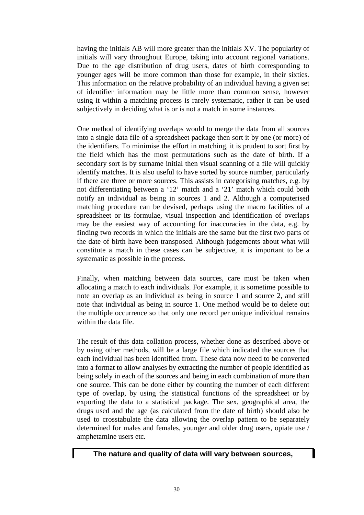having the initials AB will more greater than the initials XV. The popularity of initials will vary throughout Europe, taking into account regional variations. Due to the age distribution of drug users, dates of birth corresponding to younger ages will be more common than those for example, in their sixties. This information on the relative probability of an individual having a given set of identifier information may be little more than common sense, however using it within a matching process is rarely systematic, rather it can be used subjectively in deciding what is or is not a match in some instances.

One method of identifying overlaps would to merge the data from all sources into a single data file of a spreadsheet package then sort it by one (or more) of the identifiers. To minimise the effort in matching, it is prudent to sort first by the field which has the most permutations such as the date of birth. If a secondary sort is by surname initial then visual scanning of a file will quickly identify matches. It is also useful to have sorted by source number, particularly if there are three or more sources. This assists in categorising matches, e.g. by not differentiating between a '12' match and a '21' match which could both notify an individual as being in sources 1 and 2. Although a computerised matching procedure can be devised, perhaps using the macro facilities of a spreadsheet or its formulae, visual inspection and identification of overlaps may be the easiest way of accounting for inaccuracies in the data, e.g. by finding two records in which the initials are the same but the first two parts of the date of birth have been transposed. Although judgements about what will constitute a match in these cases can be subjective, it is important to be a systematic as possible in the process.

Finally, when matching between data sources, care must be taken when allocating a match to each individuals. For example, it is sometime possible to note an overlap as an individual as being in source 1 and source 2, and still note that individual as being in source 1. One method would be to delete out the multiple occurrence so that only one record per unique individual remains within the data file.

The result of this data collation process, whether done as described above or by using other methods, will be a large file which indicated the sources that each individual has been identified from. These data now need to be converted into a format to allow analyses by extracting the number of people identified as being solely in each of the sources and being in each combination of more than one source. This can be done either by counting the number of each different type of overlap, by using the statistical functions of the spreadsheet or by exporting the data to a statistical package. The sex, geographical area, the drugs used and the age (as calculated from the date of birth) should also be used to crosstabulate the data allowing the overlap pattern to be separately determined for males and females, younger and older drug users, opiate use / amphetamine users etc.

#### **The nature and quality of data will vary between sources,**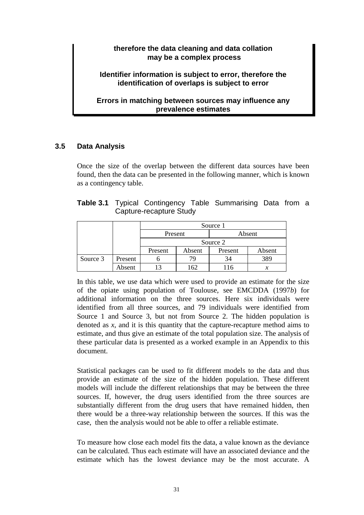#### **therefore the data cleaning and data collation may be a complex process**

#### **Identifier information is subject to error, therefore the identification of overlaps is subject to error**

#### **Errors in matching between sources may influence any prevalence estimates**

#### **3.5 Data Analysis**

Once the size of the overlap between the different data sources have been found, then the data can be presented in the following manner, which is known as a contingency table.

|  |                         | <b>Table 3.1</b> Typical Contingency Table Summarising Data from a |  |  |
|--|-------------------------|--------------------------------------------------------------------|--|--|
|  | Capture-recapture Study |                                                                    |  |  |

|          |         | Source 1 |        |         |        |  |  |
|----------|---------|----------|--------|---------|--------|--|--|
|          |         | Present  |        | Absent  |        |  |  |
|          |         | Source 2 |        |         |        |  |  |
|          |         | Present  | Absent | Present | Absent |  |  |
| Source 3 | Present |          |        | 34      | 389    |  |  |
|          | Absent  |          | 162    |         | х      |  |  |

In this table, we use data which were used to provide an estimate for the size of the opiate using population of Toulouse, see EMCDDA (1997*b*) for additional information on the three sources. Here six individuals were identified from all three sources, and 79 individuals were identified from Source 1 and Source 3, but not from Source 2. The hidden population is denoted as *x*, and it is this quantity that the capture-recapture method aims to estimate, and thus give an estimate of the total population size. The analysis of these particular data is presented as a worked example in an Appendix to this document.

Statistical packages can be used to fit different models to the data and thus provide an estimate of the size of the hidden population. These different models will include the different relationships that may be between the three sources. If, however, the drug users identified from the three sources are substantially different from the drug users that have remained hidden, then there would be a three-way relationship between the sources. If this was the case, then the analysis would not be able to offer a reliable estimate.

To measure how close each model fits the data, a value known as the deviance can be calculated. Thus each estimate will have an associated deviance and the estimate which has the lowest deviance may be the most accurate. A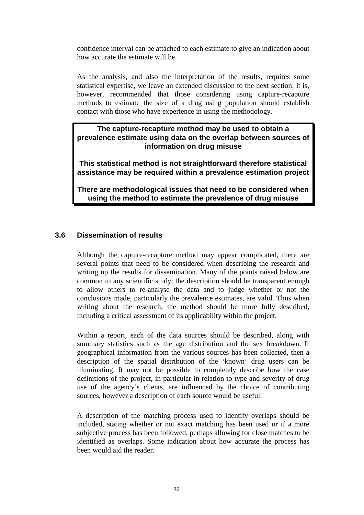confidence interval can be attached to each estimate to give an indication about how accurate the estimate will be.

As the analysis, and also the interpretation of the results, requires some statistical expertise, we leave an extended discussion to the next section. It is, however, recommended that those considering using capture-recapture methods to estimate the size of a drug using population should establish contact with those who have experience in using the methodology.

#### **The capture-recapture method may be used to obtain a prevalence estimate using data on the overlap between sources of information on drug misuse**

**This statistical method is not straightforward therefore statistical assistance may be required within a prevalence estimation project** 

**There are methodological issues that need to be considered when using the method to estimate the prevalence of drug misuse** 

#### **3.6 Dissemination of results**

Although the capture-recapture method may appear complicated, there are several points that need to be considered when describing the research and writing up the results for dissemination. Many of the points raised below are common to any scientific study; the description should be transparent enough to allow others to re-analyse the data and to judge whether or not the conclusions made, particularly the prevalence estimates, are valid. Thus when writing about the research, the method should be more fully described, including a critical assessment of its applicability within the project.

Within a report, each of the data sources should be described, along with summary statistics such as the age distribution and the sex breakdown. If geographical information from the various sources has been collected, then a description of the spatial distribution of the 'known' drug users can be illuminating. It may not be possible to completely describe how the case definitions of the project, in particular in relation to type and severity of drug use of the agency's clients, are influenced by the choice of contributing sources, however a description of each source would be useful.

A description of the matching process used to identify overlaps should be included, stating whether or not exact matching has been used or if a more subjective process has been followed, perhaps allowing for close matches to be identified as overlaps. Some indication about how accurate the process has been would aid the reader.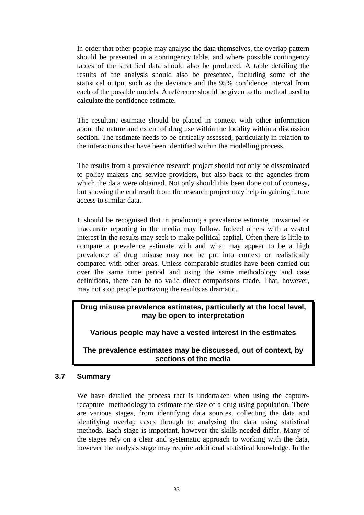In order that other people may analyse the data themselves, the overlap pattern should be presented in a contingency table, and where possible contingency tables of the stratified data should also be produced. A table detailing the results of the analysis should also be presented, including some of the statistical output such as the deviance and the 95% confidence interval from each of the possible models. A reference should be given to the method used to calculate the confidence estimate.

The resultant estimate should be placed in context with other information about the nature and extent of drug use within the locality within a discussion section. The estimate needs to be critically assessed, particularly in relation to the interactions that have been identified within the modelling process.

The results from a prevalence research project should not only be disseminated to policy makers and service providers, but also back to the agencies from which the data were obtained. Not only should this been done out of courtesy, but showing the end result from the research project may help in gaining future access to similar data.

It should be recognised that in producing a prevalence estimate, unwanted or inaccurate reporting in the media may follow. Indeed others with a vested interest in the results may seek to make political capital. Often there is little to compare a prevalence estimate with and what may appear to be a high prevalence of drug misuse may not be put into context or realistically compared with other areas. Unless comparable studies have been carried out over the same time period and using the same methodology and case definitions, there can be no valid direct comparisons made. That, however, may not stop people portraying the results as dramatic.

**Drug misuse prevalence estimates, particularly at the local level, may be open to interpretation** 

**Various people may have a vested interest in the estimates** 

**The prevalence estimates may be discussed, out of context, by sections of the media** 

# **3.7 Summary**

We have detailed the process that is undertaken when using the capturerecapture methodology to estimate the size of a drug using population. There are various stages, from identifying data sources, collecting the data and identifying overlap cases through to analysing the data using statistical methods. Each stage is important, however the skills needed differ. Many of the stages rely on a clear and systematic approach to working with the data, however the analysis stage may require additional statistical knowledge. In the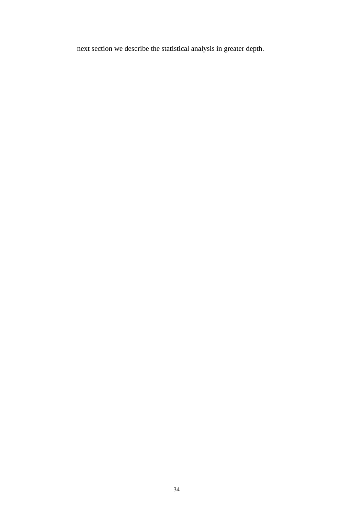next section we describe the statistical analysis in greater depth.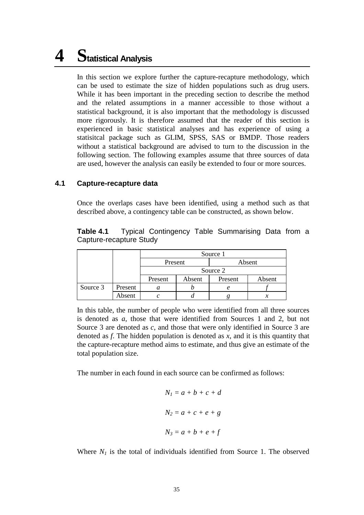# **4 Statistical Analysis**

In this section we explore further the capture-recapture methodology, which can be used to estimate the size of hidden populations such as drug users. While it has been important in the preceding section to describe the method and the related assumptions in a manner accessible to those without a statistical background, it is also important that the methodology is discussed more rigorously. It is therefore assumed that the reader of this section is experienced in basic statistical analyses and has experience of using a statisitcal package such as GLIM, SPSS, SAS or BMDP. Those readers without a statistical background are advised to turn to the discussion in the following section. The following examples assume that three sources of data are used, however the analysis can easily be extended to four or more sources.

# **4.1 Capture-recapture data**

Once the overlaps cases have been identified, using a method such as that described above, a contingency table can be constructed, as shown below.

**Table 4.1** Typical Contingency Table Summarising Data from a Capture-recapture Study

|          |         | Source 1 |        |         |        |
|----------|---------|----------|--------|---------|--------|
|          |         | Present  |        |         | Absent |
|          |         | Source 2 |        |         |        |
|          |         | Present  | Absent | Present | Absent |
| Source 3 | Present |          |        |         |        |
|          | Absent  |          |        |         |        |

In this table, the number of people who were identified from all three sources is denoted as *a*, those that were identified from Sources 1 and 2, but not Source 3 are denoted as *c*, and those that were only identified in Source 3 are denoted as *f*. The hidden population is denoted as *x*, and it is this quantity that the capture-recapture method aims to estimate, and thus give an estimate of the total population size.

The number in each found in each source can be confirmed as follows:

$$
N_1 = a + b + c + d
$$
  

$$
N_2 = a + c + e + g
$$
  

$$
N_3 = a + b + e + f
$$

Where  $N_1$  is the total of individuals identified from Source 1. The observed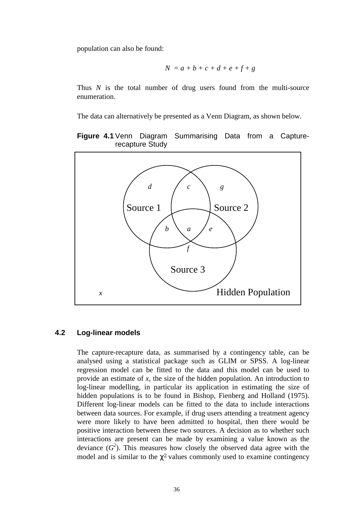population can also be found:

$$
N = a + b + c + d + e + f + g
$$

Thus *N* is the total number of drug users found from the multi-source enumeration.

The data can alternatively be presented as a Venn Diagram, as shown below.

### **Figure 4.1** Venn Diagram Summarising Data from a Capturerecapture Study



# **4.2 Log-linear models**

The capture-recapture data, as summarised by a contingency table, can be analysed using a statistical package such as GLIM or SPSS. A log-linear regression model can be fitted to the data and this model can be used to provide an estimate of *x*, the size of the hidden population. An introduction to log-linear modelling, in particular its application in estimating the size of hidden populations is to be found in Bishop, Fienberg and Holland (1975). Different log-linear models can be fitted to the data to include interactions between data sources. For example, if drug users attending a treatment agency were more likely to have been admitted to hospital, then there would be positive interaction between these two sources. A decision as to whether such interactions are present can be made by examining a value known as the deviance  $(G^2)$ . This measures how closely the observed data agree with the model and is similar to the  $\chi^2$  values commonly used to examine contingency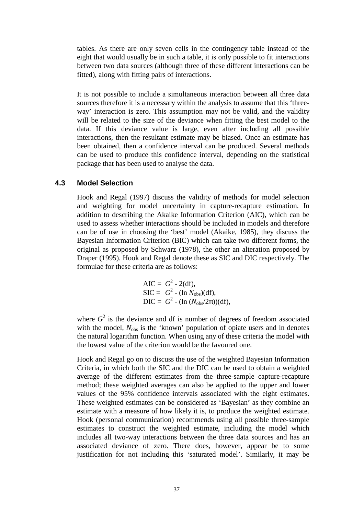tables. As there are only seven cells in the contingency table instead of the eight that would usually be in such a table, it is only possible to fit interactions between two data sources (although three of these different interactions can be fitted), along with fitting pairs of interactions.

It is not possible to include a simultaneous interaction between all three data sources therefore it is a necessary within the analysis to assume that this 'threeway' interaction is zero. This assumption may not be valid, and the validity will be related to the size of the deviance when fitting the best model to the data. If this deviance value is large, even after including all possible interactions, then the resultant estimate may be biased. Once an estimate has been obtained, then a confidence interval can be produced. Several methods can be used to produce this confidence interval, depending on the statistical package that has been used to analyse the data.

### **4.3 Model Selection**

Hook and Regal (1997) discuss the validity of methods for model selection and weighting for model uncertainty in capture-recapture estimation. In addition to describing the Akaike Information Criterion (AIC), which can be used to assess whether interactions should be included in models and therefore can be of use in choosing the 'best' model (Akaike, 1985), they discuss the Bayesian Information Criterion (BIC) which can take two different forms, the original as proposed by Schwarz (1978), the other an alteration proposed by Draper (1995). Hook and Regal denote these as SIC and DIC respectively. The formulae for these criteria are as follows:

$$
AIC = G2 - 2(df),\nSIC = G2 - (ln Nobs)(df),\nDIC = G2 - (ln (Nobs/2π))(df),
$$

where  $G<sup>2</sup>$  is the deviance and df is number of degrees of freedom associated with the model,  $N_{obs}$  is the 'known' population of opiate users and ln denotes the natural logarithm function. When using any of these criteria the model with the lowest value of the criterion would be the favoured one.

Hook and Regal go on to discuss the use of the weighted Bayesian Information Criteria, in which both the SIC and the DIC can be used to obtain a weighted average of the different estimates from the three-sample capture-recapture method; these weighted averages can also be applied to the upper and lower values of the 95% confidence intervals associated with the eight estimates. These weighted estimates can be considered as 'Bayesian' as they combine an estimate with a measure of how likely it is, to produce the weighted estimate. Hook (personal communication) recommends using all possible three-sample estimates to construct the weighted estimate, including the model which includes all two-way interactions between the three data sources and has an associated deviance of zero. There does, however, appear be to some justification for not including this 'saturated model'. Similarly, it may be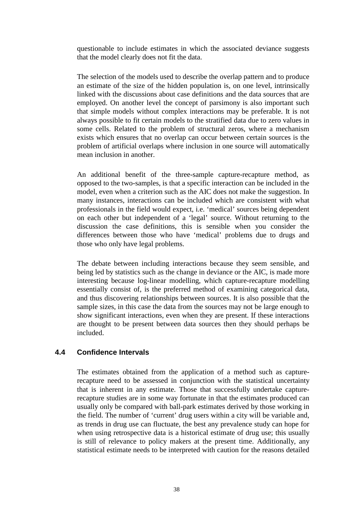questionable to include estimates in which the associated deviance suggests that the model clearly does not fit the data.

The selection of the models used to describe the overlap pattern and to produce an estimate of the size of the hidden population is, on one level, intrinsically linked with the discussions about case definitions and the data sources that are employed. On another level the concept of parsimony is also important such that simple models without complex interactions may be preferable. It is not always possible to fit certain models to the stratified data due to zero values in some cells. Related to the problem of structural zeros, where a mechanism exists which ensures that no overlap can occur between certain sources is the problem of artificial overlaps where inclusion in one source will automatically mean inclusion in another.

An additional benefit of the three-sample capture-recapture method, as opposed to the two-samples, is that a specific interaction can be included in the model, even when a criterion such as the AIC does not make the suggestion. In many instances, interactions can be included which are consistent with what professionals in the field would expect, i.e. 'medical' sources being dependent on each other but independent of a 'legal' source. Without returning to the discussion the case definitions, this is sensible when you consider the differences between those who have 'medical' problems due to drugs and those who only have legal problems.

The debate between including interactions because they seem sensible, and being led by statistics such as the change in deviance or the AIC, is made more interesting because log-linear modelling, which capture-recapture modelling essentially consist of, is the preferred method of examining categorical data, and thus discovering relationships between sources. It is also possible that the sample sizes, in this case the data from the sources may not be large enough to show significant interactions, even when they are present. If these interactions are thought to be present between data sources then they should perhaps be included.

# **4.4 Confidence Intervals**

The estimates obtained from the application of a method such as capturerecapture need to be assessed in conjunction with the statistical uncertainty that is inherent in any estimate. Those that successfully undertake capturerecapture studies are in some way fortunate in that the estimates produced can usually only be compared with ball-park estimates derived by those working in the field. The number of 'current' drug users within a city will be variable and, as trends in drug use can fluctuate, the best any prevalence study can hope for when using retrospective data is a historical estimate of drug use; this usually is still of relevance to policy makers at the present time. Additionally, any statistical estimate needs to be interpreted with caution for the reasons detailed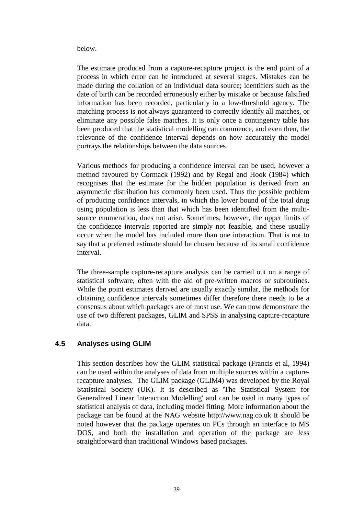below.

The estimate produced from a capture-recapture project is the end point of a process in which error can be introduced at several stages. Mistakes can be made during the collation of an individual data source; identifiers such as the date of birth can be recorded erroneously either by mistake or because falsified information has been recorded, particularly in a low-threshold agency. The matching process is not always guaranteed to correctly identify all matches, or eliminate any possible false matches. It is only once a contingency table has been produced that the statistical modelling can commence, and even then, the relevance of the confidence interval depends on how accurately the model portrays the relationships between the data sources.

Various methods for producing a confidence interval can be used, however a method favoured by Cormack (1992) and by Regal and Hook (1984) which recognises that the estimate for the hidden population is derived from an asymmetric distribution has commonly been used. Thus the possible problem of producing confidence intervals, in which the lower bound of the total drug using population is less than that which has been identified from the multisource enumeration, does not arise. Sometimes, however, the upper limits of the confidence intervals reported are simply not feasible, and these usually occur when the model has included more than one interaction. That is not to say that a preferred estimate should be chosen because of its small confidence interval.

The three-sample capture-recapture analysis can be carried out on a range of statistical software, often with the aid of pre-written macros or subroutines. While the point estimates derived are usually exactly similar, the methods for obtaining confidence intervals sometimes differ therefore there needs to be a consensus about which packages are of most use. We can now demonstrate the use of two different packages, GLIM and SPSS in analysing capture-recapture data.

# **4.5 Analyses using GLIM**

This section describes how the GLIM statistical package (Francis et al, 1994) can be used within the analyses of data from multiple sources within a capturerecapture analyses. The GLIM package (GLIM4) was developed by the Royal Statistical Society (UK). It is described as 'The Statistical System for Generalized Linear Interaction Modelling' and can be used in many types of statistical analysis of data, including model fitting. More information about the package can be found at the NAG website http://www.nag.co.uk It should be noted however that the package operates on PCs through an interface to MS DOS, and both the installation and operation of the package are less straightforward than traditional Windows based packages.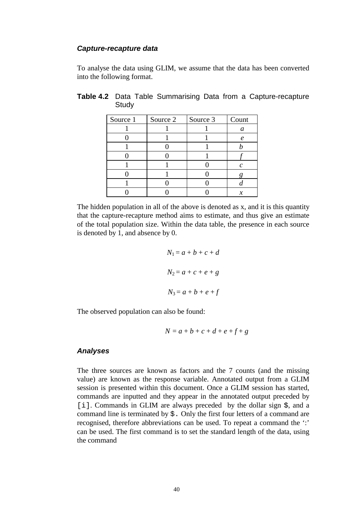#### *Capture-recapture data*

To analyse the data using GLIM, we assume that the data has been converted into the following format.

| Source 1 | Source 2 | Source 3 | Count               |
|----------|----------|----------|---------------------|
|          |          |          | a                   |
|          |          |          | $\boldsymbol{\rho}$ |
|          |          |          |                     |
|          |          |          |                     |
|          |          |          | r                   |
|          |          |          |                     |
|          |          |          |                     |
|          |          |          |                     |

# **Table 4.2** Data Table Summarising Data from a Capture-recapture **Study**

The hidden population in all of the above is denoted as x, and it is this quantity that the capture-recapture method aims to estimate, and thus give an estimate of the total population size. Within the data table, the presence in each source is denoted by 1, and absence by 0.

$$
N_1 = a + b + c + d
$$
  

$$
N_2 = a + c + e + g
$$
  

$$
N_3 = a + b + e + f
$$

The observed population can also be found:

$$
N = a + b + c + d + e + f + g
$$

### *Analyses*

The three sources are known as factors and the 7 counts (and the missing value) are known as the response variable. Annotated output from a GLIM session is presented within this document. Once a GLIM session has started, commands are inputted and they appear in the annotated output preceded by [i]. Commands in GLIM are always preceded by the dollar sign  $\hat{S}$ , and a command line is terminated by  $\frac{1}{2}$ . Only the first four letters of a command are recognised, therefore abbreviations can be used. To repeat a command the ':' can be used. The first command is to set the standard length of the data, using the command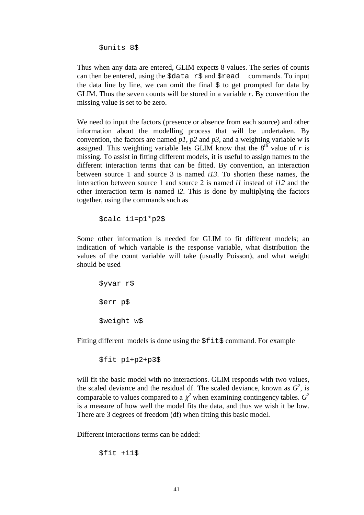\$units 8\$

Thus when any data are entered, GLIM expects 8 values. The series of counts can then be entered, using the  $\dagger$ data r $\dagger$  and  $\dagger$ read commands. To input the data line by line, we can omit the final  $\hat{S}$  to get prompted for data by GLIM. Thus the seven counts will be stored in a variable *r*. By convention the missing value is set to be zero.

We need to input the factors (presence or absence from each source) and other information about the modelling process that will be undertaken. By convention, the factors are named  $p1$ ,  $p2$  and  $p3$ , and a weighting variable w is assigned. This weighting variable lets GLIM know that the  $8<sup>th</sup>$  value of *r* is missing. To assist in fitting different models, it is useful to assign names to the different interaction terms that can be fitted. By convention, an interaction between source 1 and source 3 is named *i13*. To shorten these names, the interaction between source 1 and source 2 is named *i1* instead of *i12* and the other interaction term is named *i2*. This is done by multiplying the factors together, using the commands such as

\$calc i1=p1\*p2\$

Some other information is needed for GLIM to fit different models; an indication of which variable is the response variable, what distribution the values of the count variable will take (usually Poisson), and what weight should be used

```
$yvar r$
$err p$
$weight w$
```
Fitting different models is done using the  $$f$ it\$ command. For example

```
$fit p1+p2+p3$
```
will fit the basic model with no interactions. GLIM responds with two values, the scaled deviance and the residual df. The scaled deviance, known as  $G^2$ , is comparable to values compared to a  $\chi^2$  when examining contingency tables.  $G^2$ is a measure of how well the model fits the data, and thus we wish it be low. There are 3 degrees of freedom (df) when fitting this basic model.

Different interactions terms can be added:

\$fit +i1\$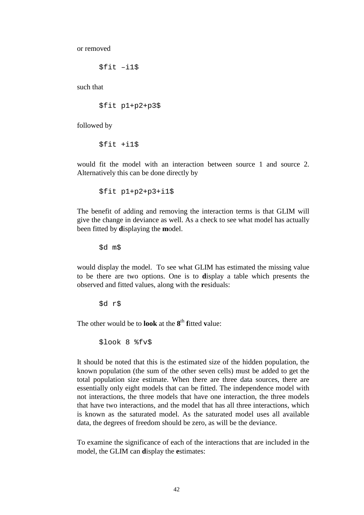or removed

\$fit –i1\$

such that

\$fit p1+p2+p3\$

followed by

\$fit +i1\$

would fit the model with an interaction between source 1 and source 2. Alternatively this can be done directly by

\$fit p1+p2+p3+i1\$

The benefit of adding and removing the interaction terms is that GLIM will give the change in deviance as well. As a check to see what model has actually been fitted by **d**isplaying the **m**odel.

\$d m\$

would display the model. To see what GLIM has estimated the missing value to be there are two options. One is to **d**isplay a table which presents the observed and fitted values, along with the **r**esiduals:

\$d r\$

The other would be to **look** at the **8**th **f**itted **v**alue:

\$look 8 %fv\$

It should be noted that this is the estimated size of the hidden population, the known population (the sum of the other seven cells) must be added to get the total population size estimate. When there are three data sources, there are essentially only eight models that can be fitted. The independence model with not interactions, the three models that have one interaction, the three models that have two interactions, and the model that has all three interactions, which is known as the saturated model. As the saturated model uses all available data, the degrees of freedom should be zero, as will be the deviance.

To examine the significance of each of the interactions that are included in the model, the GLIM can **d**isplay the **e**stimates: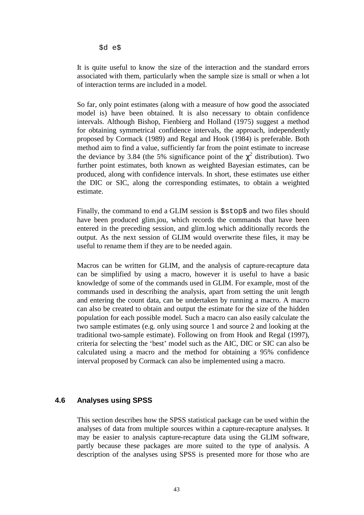\$d e\$

It is quite useful to know the size of the interaction and the standard errors associated with them, particularly when the sample size is small or when a lot of interaction terms are included in a model.

So far, only point estimates (along with a measure of how good the associated model is) have been obtained. It is also necessary to obtain confidence intervals. Although Bishop, Fienbierg and Holland (1975) suggest a method for obtaining symmetrical confidence intervals, the approach, independently proposed by Cormack (1989) and Regal and Hook (1984) is preferable. Both method aim to find a value, sufficiently far from the point estimate to increase the deviance by 3.84 (the 5% significance point of the  $\chi^2$  distribution). Two further point estimates, both known as weighted Bayesian estimates, can be produced, along with confidence intervals. In short, these estimates use either the DIC or SIC, along the corresponding estimates, to obtain a weighted estimate.

Finally, the command to end a GLIM session is \$stop\$ and two files should have been produced glim.jou, which records the commands that have been entered in the preceding session, and glim.log which additionally records the output. As the next session of GLIM would overwrite these files, it may be useful to rename them if they are to be needed again.

Macros can be written for GLIM, and the analysis of capture-recapture data can be simplified by using a macro, however it is useful to have a basic knowledge of some of the commands used in GLIM. For example, most of the commands used in describing the analysis, apart from setting the unit length and entering the count data, can be undertaken by running a macro. A macro can also be created to obtain and output the estimate for the size of the hidden population for each possible model. Such a macro can also easily calculate the two sample estimates (e.g. only using source 1 and source 2 and looking at the traditional two-sample estimate). Following on from Hook and Regal (1997), criteria for selecting the 'best' model such as the AIC, DIC or SIC can also be calculated using a macro and the method for obtaining a 95% confidence interval proposed by Cormack can also be implemented using a macro.

### **4.6 Analyses using SPSS**

This section describes how the SPSS statistical package can be used within the analyses of data from multiple sources within a capture-recapture analyses. It may be easier to analysis capture-recapture data using the GLIM software, partly because these packages are more suited to the type of analysis. A description of the analyses using SPSS is presented more for those who are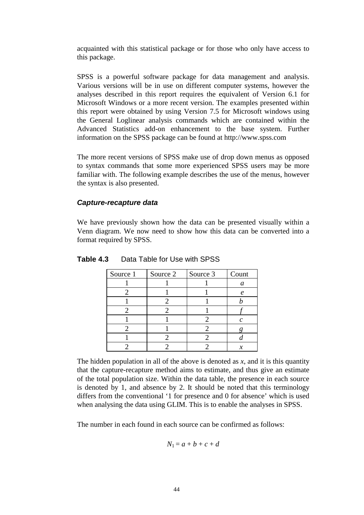acquainted with this statistical package or for those who only have access to this package.

SPSS is a powerful software package for data management and analysis. Various versions will be in use on different computer systems, however the analyses described in this report requires the equivalent of Version 6.1 for Microsoft Windows or a more recent version. The examples presented within this report were obtained by using Version 7.5 for Microsoft windows using the General Loglinear analysis commands which are contained within the Advanced Statistics add-on enhancement to the base system. Further information on the SPSS package can be found at http://www.spss.com

The more recent versions of SPSS make use of drop down menus as opposed to syntax commands that some more experienced SPSS users may be more familiar with. The following example describes the use of the menus, however the syntax is also presented.

### *Capture-recapture data*

We have previously shown how the data can be presented visually within a Venn diagram. We now need to show how this data can be converted into a format required by SPSS.

| Source 1 | Source 2 | Source 3 | Count |
|----------|----------|----------|-------|
|          |          |          | a     |
|          |          |          | e     |
|          |          |          |       |
|          |          |          |       |
|          |          |          | r     |
|          |          |          |       |
|          |          |          |       |
|          |          |          |       |

**Table 4.3** Data Table for Use with SPSS

The hidden population in all of the above is denoted as  $x$ , and it is this quantity that the capture-recapture method aims to estimate, and thus give an estimate of the total population size. Within the data table, the presence in each source is denoted by 1, and absence by 2. It should be noted that this terminology differs from the conventional '1 for presence and 0 for absence' which is used when analysing the data using GLIM. This is to enable the analyses in SPSS.

The number in each found in each source can be confirmed as follows:

$$
N_1 = a + b + c + d
$$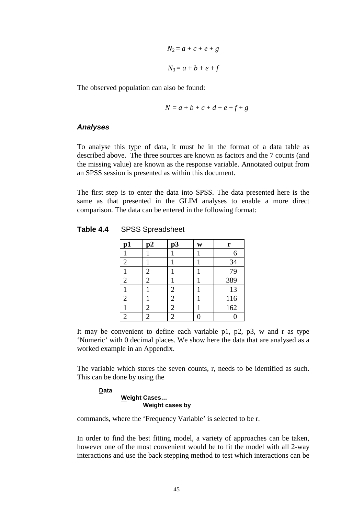$$
N_2 = a + c + e + g
$$
  

$$
N_3 = a + b + e + f
$$

The observed population can also be found:

$$
N = a + b + c + d + e + f + g
$$

#### *Analyses*

To analyse this type of data, it must be in the format of a data table as described above. The three sources are known as factors and the 7 counts (and the missing value) are known as the response variable. Annotated output from an SPSS session is presented as within this document.

The first step is to enter the data into SPSS. The data presented here is the same as that presented in the GLIM analyses to enable a more direct comparison. The data can be entered in the following format:

| Table 4.4 | <b>SPSS Spreadsheet</b> |
|-----------|-------------------------|
|-----------|-------------------------|

| $\mathbf{p1}$  | $\mathbf{p}$   | p3 | W | r   |
|----------------|----------------|----|---|-----|
|                |                |    |   |     |
| 2              |                |    |   | 34  |
|                | 2              |    |   | 79  |
| $\overline{2}$ | 2              |    |   | 389 |
|                |                | 2  |   | 13  |
| $\overline{2}$ |                | 2  |   | 116 |
|                | $\overline{2}$ | 2  |   | 162 |
|                | 2              | 2  |   |     |

It may be convenient to define each variable p1, p2, p3, w and r as type 'Numeric' with 0 decimal places. We show here the data that are analysed as a worked example in an Appendix.

The variable which stores the seven counts, r, needs to be identified as such. This can be done by using the

#### **Data Weight Cases… Weight cases by**

commands, where the 'Frequency Variable' is selected to be r.

In order to find the best fitting model, a variety of approaches can be taken, however one of the most convenient would be to fit the model with all 2-way interactions and use the back stepping method to test which interactions can be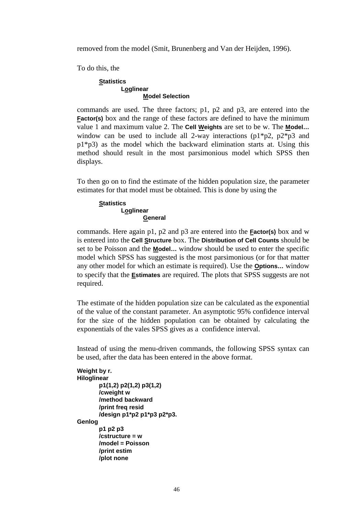removed from the model (Smit, Brunenberg and Van der Heijden, 1996).

To do this, the

#### **Statistics Loglinear Model Selection**

commands are used. The three factors; p1, p2 and p3, are entered into the **Factor(s)** box and the range of these factors are defined to have the minimum value 1 and maximum value 2. The **Cell Weights** are set to be w. The **Model…** window can be used to include all 2-way interactions  $(p1*p2, p2*p3$  and  $p1*p3$ ) as the model which the backward elimination starts at. Using this method should result in the most parsimonious model which SPSS then displays.

To then go on to find the estimate of the hidden population size, the parameter estimates for that model must be obtained. This is done by using the

#### **Statistics Loglinear General**

commands. Here again p1, p2 and p3 are entered into the **Factor(s)** box and w is entered into the **Cell Structure** box. The **Distribution of Cell Counts** should be set to be Poisson and the **Model…** window should be used to enter the specific model which SPSS has suggested is the most parsimonious (or for that matter any other model for which an estimate is required). Use the **Options…** window to specify that the **Estimates** are required. The plots that SPSS suggests are not required.

The estimate of the hidden population size can be calculated as the exponential of the value of the constant parameter. An asymptotic 95% confidence interval for the size of the hidden population can be obtained by calculating the exponentials of the vales SPSS gives as a confidence interval.

Instead of using the menu-driven commands, the following SPSS syntax can be used, after the data has been entered in the above format.

```
Weight by r. 
Hiloglinear 
         p1(1,2) p2(1,2) p3(1,2) 
         /cweight w 
         /method backward 
         /print freq resid 
         /design p1*p2 p1*p3 p2*p3. 
Genlog 
         p1 p2 p3 
         /cstructure = w 
         /model = Poisson 
         /print estim 
         /plot none
```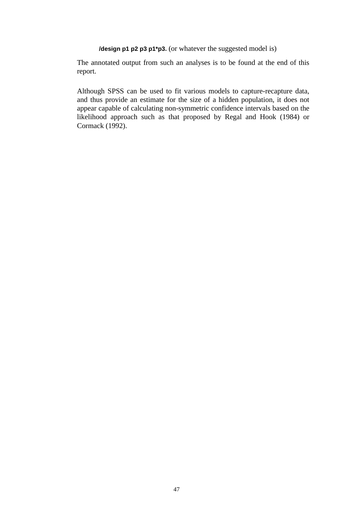*I***design p1 p2 p3 p1\*p3.** (or whatever the suggested model is)

The annotated output from such an analyses is to be found at the end of this report.

Although SPSS can be used to fit various models to capture-recapture data, and thus provide an estimate for the size of a hidden population, it does not appear capable of calculating non-symmetric confidence intervals based on the likelihood approach such as that proposed by Regal and Hook (1984) or Cormack (1992).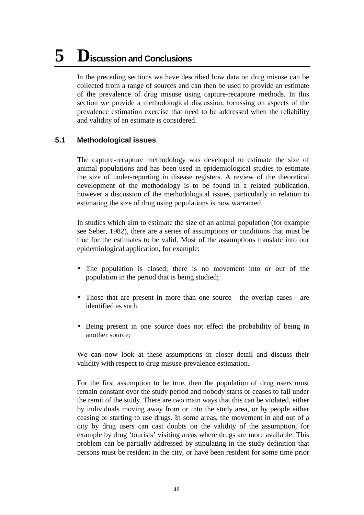# **5 Discussion and Conclusions**

In the preceding sections we have described how data on drug misuse can be collected from a range of sources and can then be used to provide an estimate of the prevalence of drug misuse using capture-recapture methods. In this section we provide a methodological discussion, focussing on aspects of the prevalence estimation exercise that need to be addressed when the reliability and validity of an estimate is considered.

# **5.1 Methodological issues**

The capture-recapture methodology was developed to estimate the size of animal populations and has been used in epidemiological studies to estimate the size of under-reporting in disease registers. A review of the theoretical development of the methodology is to be found in a related publication, however a discussion of the methodological issues, particularly in relation to estimating the size of drug using populations is now warranted.

In studies which aim to estimate the size of an animal population (for example see Seber, 1982), there are a series of assumptions or conditions that must be true for the estimates to be valid. Most of the assumptions translate into our epidemiological application, for example:

- The population is closed; there is no movement into or out of the population in the period that is being studied;
- Those that are present in more than one source the overlap cases are identified as such.
- Being present in one source does not effect the probability of being in another source;

We can now look at these assumptions in closer detail and discuss their validity with respect to drug misuse prevalence estimation.

For the first assumption to be true, then the population of drug users must remain constant over the study period and nobody starts or ceases to fall under the remit of the study. There are two main ways that this can be violated, either by individuals moving away from or into the study area, or by people either ceasing or starting to use drugs. In some areas, the movement in and out of a city by drug users can cast doubts on the validity of the assumption, for example by drug 'tourists' visiting areas where drugs are more available. This problem can be partially addressed by stipulating in the study definition that persons must be resident in the city, or have been resident for some time prior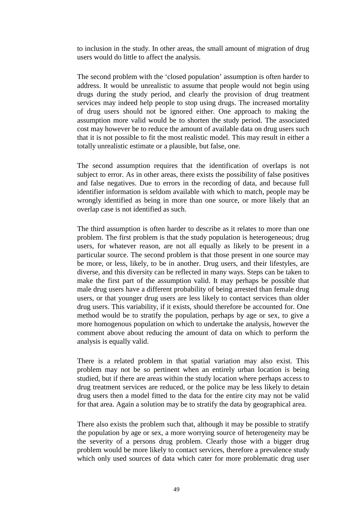to inclusion in the study. In other areas, the small amount of migration of drug users would do little to affect the analysis.

The second problem with the 'closed population' assumption is often harder to address. It would be unrealistic to assume that people would not begin using drugs during the study period, and clearly the provision of drug treatment services may indeed help people to stop using drugs. The increased mortality of drug users should not be ignored either. One approach to making the assumption more valid would be to shorten the study period. The associated cost may however be to reduce the amount of available data on drug users such that it is not possible to fit the most realistic model. This may result in either a totally unrealistic estimate or a plausible, but false, one.

The second assumption requires that the identification of overlaps is not subject to error. As in other areas, there exists the possibility of false positives and false negatives. Due to errors in the recording of data, and because full identifier information is seldom available with which to match, people may be wrongly identified as being in more than one source, or more likely that an overlap case is not identified as such.

The third assumption is often harder to describe as it relates to more than one problem. The first problem is that the study population is heterogeneous; drug users, for whatever reason, are not all equally as likely to be present in a particular source. The second problem is that those present in one source may be more, or less, likely, to be in another. Drug users, and their lifestyles, are diverse, and this diversity can be reflected in many ways. Steps can be taken to make the first part of the assumption valid. It may perhaps be possible that male drug users have a different probability of being arrested than female drug users, or that younger drug users are less likely to contact services than older drug users. This variability, if it exists, should therefore be accounted for. One method would be to stratify the population, perhaps by age or sex, to give a more homogenous population on which to undertake the analysis, however the comment above about reducing the amount of data on which to perform the analysis is equally valid.

There is a related problem in that spatial variation may also exist. This problem may not be so pertinent when an entirely urban location is being studied, but if there are areas within the study location where perhaps access to drug treatment services are reduced, or the police may be less likely to detain drug users then a model fitted to the data for the entire city may not be valid for that area. Again a solution may be to stratify the data by geographical area.

There also exists the problem such that, although it may be possible to stratify the population by age or sex, a more worrying source of heterogeneity may be the severity of a persons drug problem. Clearly those with a bigger drug problem would be more likely to contact services, therefore a prevalence study which only used sources of data which cater for more problematic drug user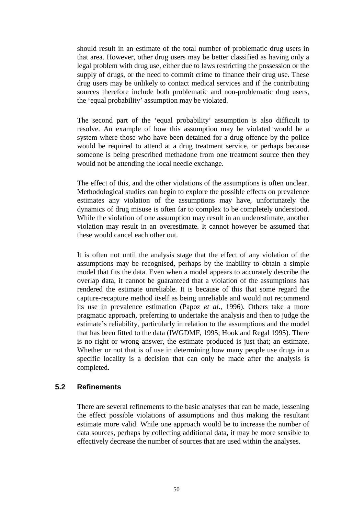should result in an estimate of the total number of problematic drug users in that area. However, other drug users may be better classified as having only a legal problem with drug use, either due to laws restricting the possession or the supply of drugs, or the need to commit crime to finance their drug use. These drug users may be unlikely to contact medical services and if the contributing sources therefore include both problematic and non-problematic drug users, the 'equal probability' assumption may be violated.

The second part of the 'equal probability' assumption is also difficult to resolve. An example of how this assumption may be violated would be a system where those who have been detained for a drug offence by the police would be required to attend at a drug treatment service, or perhaps because someone is being prescribed methadone from one treatment source then they would not be attending the local needle exchange.

The effect of this, and the other violations of the assumptions is often unclear. Methodological studies can begin to explore the possible effects on prevalence estimates any violation of the assumptions may have, unfortunately the dynamics of drug misuse is often far to complex to be completely understood. While the violation of one assumption may result in an underestimate, another violation may result in an overestimate. It cannot however be assumed that these would cancel each other out.

It is often not until the analysis stage that the effect of any violation of the assumptions may be recognised, perhaps by the inability to obtain a simple model that fits the data. Even when a model appears to accurately describe the overlap data, it cannot be guaranteed that a violation of the assumptions has rendered the estimate unreliable. It is because of this that some regard the capture-recapture method itself as being unreliable and would not recommend its use in prevalence estimation (Papoz *et al*., 1996). Others take a more pragmatic approach, preferring to undertake the analysis and then to judge the estimate's reliability, particularly in relation to the assumptions and the model that has been fitted to the data (IWGDMF, 1995; Hook and Regal 1995). There is no right or wrong answer, the estimate produced is just that; an estimate. Whether or not that is of use in determining how many people use drugs in a specific locality is a decision that can only be made after the analysis is completed.

### **5.2 Refinements**

There are several refinements to the basic analyses that can be made, lessening the effect possible violations of assumptions and thus making the resultant estimate more valid. While one approach would be to increase the number of data sources, perhaps by collecting additional data, it may be more sensible to effectively decrease the number of sources that are used within the analyses.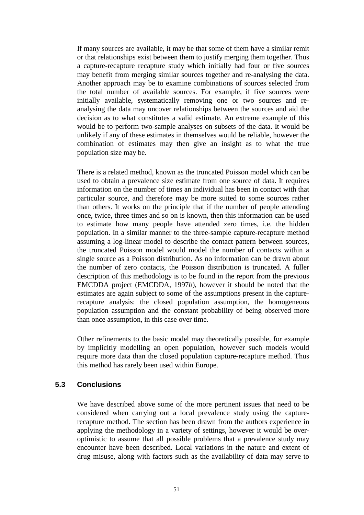If many sources are available, it may be that some of them have a similar remit or that relationships exist between them to justify merging them together. Thus a capture-recapture recapture study which initially had four or five sources may benefit from merging similar sources together and re-analysing the data. Another approach may be to examine combinations of sources selected from the total number of available sources. For example, if five sources were initially available, systematically removing one or two sources and reanalysing the data may uncover relationships between the sources and aid the decision as to what constitutes a valid estimate. An extreme example of this would be to perform two-sample analyses on subsets of the data. It would be unlikely if any of these estimates in themselves would be reliable, however the combination of estimates may then give an insight as to what the true population size may be.

There is a related method, known as the truncated Poisson model which can be used to obtain a prevalence size estimate from one source of data. It requires information on the number of times an individual has been in contact with that particular source, and therefore may be more suited to some sources rather than others. It works on the principle that if the number of people attending once, twice, three times and so on is known, then this information can be used to estimate how many people have attended zero times, i.e. the hidden population. In a similar manner to the three-sample capture-recapture method assuming a log-linear model to describe the contact pattern between sources, the truncated Poisson model would model the number of contacts within a single source as a Poisson distribution. As no information can be drawn about the number of zero contacts, the Poisson distribution is truncated. A fuller description of this methodology is to be found in the report from the previous EMCDDA project (EMCDDA, 1997*b*), however it should be noted that the estimates are again subject to some of the assumptions present in the capturerecapture analysis: the closed population assumption, the homogeneous population assumption and the constant probability of being observed more than once assumption, in this case over time.

Other refinements to the basic model may theoretically possible, for example by implicitly modelling an open population, however such models would require more data than the closed population capture-recapture method. Thus this method has rarely been used within Europe.

# **5.3 Conclusions**

We have described above some of the more pertinent issues that need to be considered when carrying out a local prevalence study using the capturerecapture method. The section has been drawn from the authors experience in applying the methodology in a variety of settings, however it would be overoptimistic to assume that all possible problems that a prevalence study may encounter have been described. Local variations in the nature and extent of drug misuse, along with factors such as the availability of data may serve to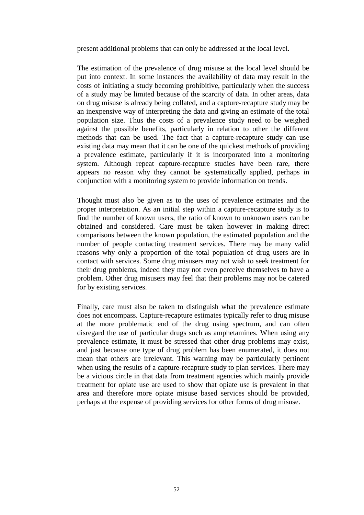present additional problems that can only be addressed at the local level.

The estimation of the prevalence of drug misuse at the local level should be put into context. In some instances the availability of data may result in the costs of initiating a study becoming prohibitive, particularly when the success of a study may be limited because of the scarcity of data. In other areas, data on drug misuse is already being collated, and a capture-recapture study may be an inexpensive way of interpreting the data and giving an estimate of the total population size. Thus the costs of a prevalence study need to be weighed against the possible benefits, particularly in relation to other the different methods that can be used. The fact that a capture-recapture study can use existing data may mean that it can be one of the quickest methods of providing a prevalence estimate, particularly if it is incorporated into a monitoring system. Although repeat capture-recapture studies have been rare, there appears no reason why they cannot be systematically applied, perhaps in conjunction with a monitoring system to provide information on trends.

Thought must also be given as to the uses of prevalence estimates and the proper interpretation. As an initial step within a capture-recapture study is to find the number of known users, the ratio of known to unknown users can be obtained and considered. Care must be taken however in making direct comparisons between the known population, the estimated population and the number of people contacting treatment services. There may be many valid reasons why only a proportion of the total population of drug users are in contact with services. Some drug misusers may not wish to seek treatment for their drug problems, indeed they may not even perceive themselves to have a problem. Other drug misusers may feel that their problems may not be catered for by existing services.

Finally, care must also be taken to distinguish what the prevalence estimate does not encompass. Capture-recapture estimates typically refer to drug misuse at the more problematic end of the drug using spectrum, and can often disregard the use of particular drugs such as amphetamines. When using any prevalence estimate, it must be stressed that other drug problems may exist, and just because one type of drug problem has been enumerated, it does not mean that others are irrelevant. This warning may be particularly pertinent when using the results of a capture-recapture study to plan services. There may be a vicious circle in that data from treatment agencies which mainly provide treatment for opiate use are used to show that opiate use is prevalent in that area and therefore more opiate misuse based services should be provided, perhaps at the expense of providing services for other forms of drug misuse.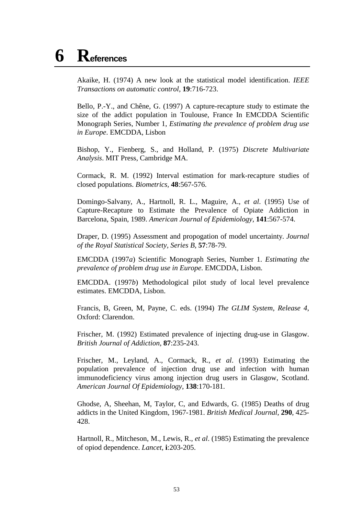# **6 References**

Akaike, H. (1974) A new look at the statistical model identification. *IEEE Transactions on automatic control,* **19**:716-723.

Bello, P.-Y., and Chêne, G. (1997) A capture-recapture study to estimate the size of the addict population in Toulouse, France In EMCDDA Scientific Monograph Series, Number 1, *Estimating the prevalence of problem drug use in Europe*. EMCDDA, Lisbon

Bishop, Y., Fienberg, S., and Holland, P. (1975) *Discrete Multivariate Analysis*. MIT Press, Cambridge MA.

Cormack, R. M. (1992) Interval estimation for mark-recapture studies of closed populations. *Biometrics,* **48**:567-576.

Domingo-Salvany, A., Hartnoll, R. L., Maguire, A., *et al*. (1995) Use of Capture-Recapture to Estimate the Prevalence of Opiate Addiction in Barcelona, Spain, 1989. *American Journal of Epidemiology,* **141**:567-574.

Draper, D. (1995) Assessment and propogation of model uncertainty. *Journal of the Royal Statistical Society, Series B,* **57**:78-79.

EMCDDA (1997*a*) Scientific Monograph Series, Number 1. *Estimating the prevalence of problem drug use in Europe*. EMCDDA, Lisbon.

EMCDDA. (1997*b*) Methodological pilot study of local level prevalence estimates. EMCDDA, Lisbon.

Francis, B, Green, M, Payne, C. eds. (1994) *The GLIM System, Release 4*, Oxford: Clarendon.

Frischer, M. (1992) Estimated prevalence of injecting drug-use in Glasgow. *British Journal of Addiction*, **87**:235-243.

Frischer, M., Leyland, A., Cormack, R., *et al*. (1993) Estimating the population prevalence of injection drug use and infection with human immunodeficiency virus among injection drug users in Glasgow, Scotland. *American Journal Of Epidemiology*, **138**:170-181.

Ghodse, A, Sheehan, M, Taylor, C, and Edwards, G. (1985) Deaths of drug addicts in the United Kingdom, 1967-1981. *British Medical Journal*, **290**, 425- 428.

Hartnoll, R., Mitcheson, M., Lewis, R., *et al*. (1985) Estimating the prevalence of opiod dependence. *Lancet,* **i**:203-205.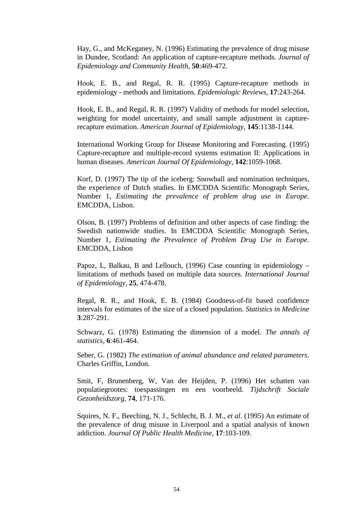Hay, G., and McKeganey, N. (1996) Estimating the prevalence of drug misuse in Dundee, Scotland: An application of capture-recapture methods. *Journal of Epidemiology and Community Health,* **50**:469-472.

Hook, E. B., and Regal, R. R. (1995) Capture-recapture methods in epidemiology - methods and limitations. *Epidemiologic Reviews,* **17**:243-264.

Hook, E. B., and Regal, R. R. (1997) Validity of methods for model selection, weighting for model uncertainty, and small sample adjustment in capturerecapture estimation. *American Journal of Epidemiology,* **145**:1138-1144.

International Working Group for Disease Monitoring and Forecasting. (1995) Capture-recapture and multiple-record systems estimation II: Applications in human diseases. *American Journal Of Epidemiology*, **142**:1059-1068.

Korf, D. (1997) The tip of the iceberg: Snowball and nomination techniques, the experience of Dutch studies. In EMCDDA Scientific Monograph Series, Number 1, *Estimating the prevalence of problem drug use in Europe*. EMCDDA, Lisbon.

Olson, B. (1997) Problems of definition and other aspects of case finding: the Swedish nationwide studies. In EMCDDA Scientific Monograph Series, Number 1, *Estimating the Prevalence of Problem Drug Use in Europe*. EMCDDA, Lisbon

Papoz, L, Balkau, B and Lellouch, (1996) Case counting in epidemiology – limitations of methods based on multiple data sources*. International Journal of Epidemiology*, **25**, 474-478.

Regal, R. R., and Hook, E. B. (1984) Goodness-of-fit based confidence intervals for estimates of the size of a closed population. *Statistics in Medicine* **3**:287-291.

Schwarz, G. (1978) Estimating the dimension of a model. *The annals of statistics,* **6**:461-464.

Seber, G. (1982) *The estimation of animal abundance and related parameters*. Charles Griffin, London.

Smit, F, Brunenberg, W, Van der Heijden, P. (1996) Het schatten van populatiegrootes: toespassingen en een voorbeeld. *Tijdschrift Sociale Gezonheidszorg*, **74**, 171-176.

Squires, N. F., Beeching, N. J., Schlecht, B. J. M., *et al*. (1995) An estimate of the prevalence of drug misuse in Liverpool and a spatial analysis of known addiction. *Journal Of Public Health Medicine,* **17**:103-109.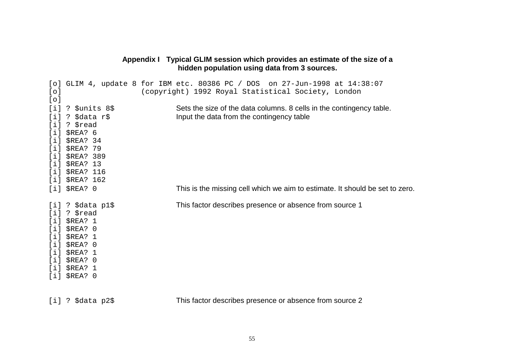|                                                      |                                                                                                                                                    | hidden population using data from 3 sources.                                                                                      |
|------------------------------------------------------|----------------------------------------------------------------------------------------------------------------------------------------------------|-----------------------------------------------------------------------------------------------------------------------------------|
| $[ \circ ]$<br>[0]                                   |                                                                                                                                                    | [o] GLIM 4, update 8 for IBM etc. 80386 PC / DOS on 27-Jun-1998 at 14:38:07<br>(copyright) 1992 Royal Statistical Society, London |
| [i]<br>[i]<br>[i]<br>[i]<br>[i]<br>[i]<br>[i]<br>[i] | ? \$units 8\$<br>? \$data r\$<br>? \$read<br>\$REA? 6<br>\$REA? 34<br>\$REA? 79<br>$[i]$ \$REA? 389<br>\$REA? 13<br>\$REA? 116<br>$[i]$ \$REA? 162 | Sets the size of the data columns. 8 cells in the contingency table.<br>Input the data from the contingency table                 |
|                                                      | $[i]$ \$REA? $0$                                                                                                                                   | This is the missing cell which we aim to estimate. It should be set to zero.                                                      |
| [i]<br>[i]<br>[i]<br>[i]<br>[i]<br>[i]<br>[i]        | $[i]$ ? \$data p1\$<br>? \$read<br>\$REA? 1<br>\$REA? 0<br>\$REA? 1<br>\$REA? 0<br>$[i]$ \$REA? 1<br>\$REA? 0<br>\$REA? 1<br>$[i]$ \$REA? $0$      | This factor describes presence or absence from source 1                                                                           |
|                                                      | [i] ? \$data p2\$                                                                                                                                  | This factor describes presence or absence from source 2                                                                           |

# **Appendix I Typical GLIM session which provides an estimate of the size of a**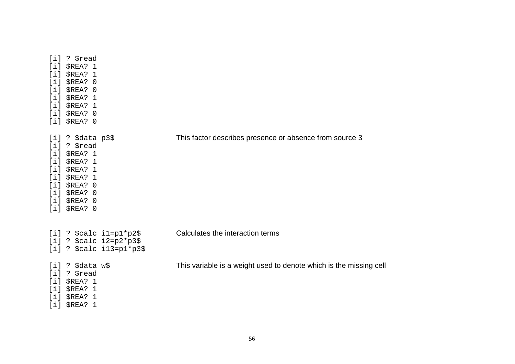| $[i]$ ? $$read$<br>$[i]$ \$REA? 1<br>$[i]$ \$REA? 1<br>$[i]$ \$REA? $0$<br>[i]<br>\$REA? 0<br>[i]<br>\$REA? 1<br>$[i]$ \$REA? 1<br>[i]<br>\$REA? 0<br>$[i]$ \$REA? $0$                          |                                                                    |
|-------------------------------------------------------------------------------------------------------------------------------------------------------------------------------------------------|--------------------------------------------------------------------|
| $[i]$ ? \$data p3\$<br>$[i]$ ? $$read$<br>[i]<br>\$REA? 1<br>$[i]$ \$REA? 1<br>$[i]$ \$REA? 1<br>[i]<br>\$REA? 1<br>[i]<br>\$REA? 0<br>$[i]$ \$REA? $0$<br>$[i]$ \$REA? $0$<br>$[i]$ \$REA? $0$ | This factor describes presence or absence from source 3            |
| [i] ? $\frac{1}{2}$ calc i1=p1*p2\$<br>[i] ? $\frac{2}{2}$ and i2=p2*p3\$<br>[i] ? $\frac{2}{3}$ calc i13=p1*p3\$                                                                               | Calculates the interaction terms                                   |
| [i] ? \$data w\$<br>$[i]$ ? $$read$<br>$[i]$ \$REA? 1<br>[i]<br>\$REA? 1<br>$[i]$ \$REA? 1<br>[i]<br>\$REA? 1                                                                                   | This variable is a weight used to denote which is the missing cell |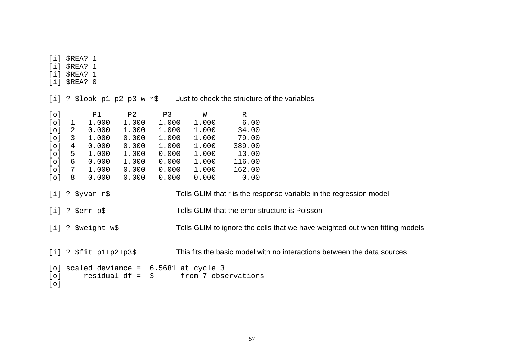[i] \$REA? 1 [i] \$REA? 1 [i] \$REA? 1 [i] \$REA? 0

[i] ? \$look p1 p2 p3 w r\$ Just to check the structure of the variables

| [o]         |   | P1                                                            | P2    | P3    | W                 | R      |                                                                                                                                                                                                      |
|-------------|---|---------------------------------------------------------------|-------|-------|-------------------|--------|------------------------------------------------------------------------------------------------------------------------------------------------------------------------------------------------------|
| [0]         | 1 | 1.000                                                         | 1.000 | 1.000 | 1.000             | 6.00   |                                                                                                                                                                                                      |
| $[ \circ ]$ | 2 | 0.000                                                         | 1.000 | 1.000 | 1.000             | 34.00  |                                                                                                                                                                                                      |
| [0]         | 3 | 1.000                                                         | 0.000 | 1.000 | 1.000             | 79.00  |                                                                                                                                                                                                      |
| $[ \circ ]$ | 4 | 0.000                                                         | 0.000 | 1.000 | 1.000             | 389.00 |                                                                                                                                                                                                      |
| $[ \circ ]$ | 5 | 1.000                                                         | 1.000 | 0.000 | 1.000             | 13.00  |                                                                                                                                                                                                      |
| [0]         | 6 | 0.000                                                         | 1.000 | 0.000 | 1.000             | 116.00 |                                                                                                                                                                                                      |
| [0]         | 7 | 1.000                                                         | 0.000 | 0.000 | 1.000             | 162.00 |                                                                                                                                                                                                      |
| [0]         | 8 | 0.000                                                         | 0.000 | 0.000 | 0.000             | 0.00   |                                                                                                                                                                                                      |
|             |   | $[i]$ ? \$yvar r\$<br>$[i]$ ? \$err p\$<br>[i] ? \$weight w\$ |       |       |                   |        | Tells GLIM that r is the response variable in the regression model<br>Tells GLIM that the error structure is Poisson<br>Tells GLIM to ignore the cells that we have weighted out when fitting models |
|             |   | $[i]$ ? \$fit p1+p2+p3\$                                      |       |       |                   |        | This fits the basic model with no interactions between the data sources                                                                                                                              |
|             |   | [o] scaled deviance =                                         |       |       | 6.5681 at cycle 3 |        |                                                                                                                                                                                                      |
|             |   |                                                               |       |       |                   |        |                                                                                                                                                                                                      |

```
[o] residual df = 3 from 7 observations
```
[o]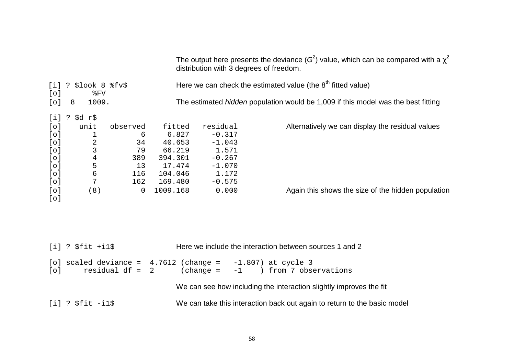|             |                                                                                                     |                 |                                                | distribution with 3 degrees of freedom. | The output here presents the deviance (G <sup>2</sup> ) value, which can be compared with a $\chi^2$ |  |  |  |  |
|-------------|-----------------------------------------------------------------------------------------------------|-----------------|------------------------------------------------|-----------------------------------------|------------------------------------------------------------------------------------------------------|--|--|--|--|
| [i]<br>[0]  | Here we can check the estimated value (the $8th$ fitted value)<br>$$$ look 8 $$$ fv $$$<br>?<br>%FV |                 |                                                |                                         |                                                                                                      |  |  |  |  |
| $[ \circ ]$ | 1009.<br>8                                                                                          |                 |                                                |                                         | The estimated hidden population would be 1,009 if this model was the best fitting                    |  |  |  |  |
| [i]         | \$d r\$<br>$\cdot$ ?                                                                                |                 |                                                |                                         |                                                                                                      |  |  |  |  |
| [0]         | unit                                                                                                | observed        | fitted                                         | residual                                | Alternatively we can display the residual values                                                     |  |  |  |  |
| [0]         | $\mathbf 1$                                                                                         | 6               | 6.827                                          | $-0.317$                                |                                                                                                      |  |  |  |  |
| [0]         | $\frac{2}{3}$                                                                                       | 34              | 40.653                                         | $-1.043$                                |                                                                                                      |  |  |  |  |
| [0]         |                                                                                                     | 79              | 66.219                                         | 1.571                                   |                                                                                                      |  |  |  |  |
| [0]         | $\overline{4}$                                                                                      | 389             | 394.301                                        | $-0.267$                                |                                                                                                      |  |  |  |  |
| $[ \circ ]$ | $\mathsf S$                                                                                         | 13              | 17.474                                         | $-1.070$                                |                                                                                                      |  |  |  |  |
| [0]         | $\sqrt{6}$                                                                                          | 116             | 104.046                                        | 1.172                                   |                                                                                                      |  |  |  |  |
| $[ \circ ]$ | 7                                                                                                   | 162             | 169.480                                        | $-0.575$                                |                                                                                                      |  |  |  |  |
| [0]         | (8)                                                                                                 | $\Omega$        | 1009.168                                       | 0.000                                   | Again this shows the size of the hidden population                                                   |  |  |  |  |
| [0]         |                                                                                                     |                 |                                                |                                         |                                                                                                      |  |  |  |  |
|             |                                                                                                     |                 |                                                |                                         |                                                                                                      |  |  |  |  |
|             |                                                                                                     |                 |                                                |                                         |                                                                                                      |  |  |  |  |
|             | $[i]$ ? $$fit$ +il\$                                                                                |                 |                                                |                                         | Here we include the interaction between sources 1 and 2                                              |  |  |  |  |
| $[ \circ ]$ |                                                                                                     | $residual df =$ | [o] scaled deviance = $4.7612$ (change =<br>-2 | $(change =$<br>$-1$                     | $-1.807)$ at cycle 3<br>) from 7 observations                                                        |  |  |  |  |

We can see how including the interaction slightly improves the fit

[i] ? \$fit -i1\$ We can take this interaction back out again to return to the basic model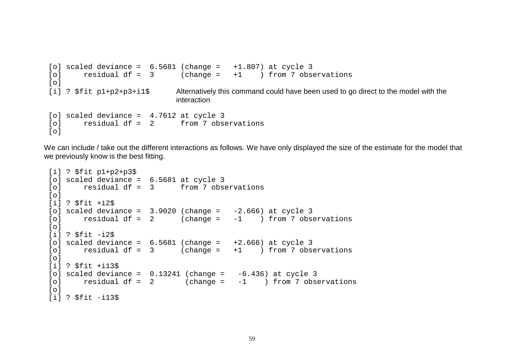```
[o] scaled deviance = 6.5681 (change = +1.807) at cycle 3
[o] residual df = 3 (change = +1 ) from 7 observations
\lceil 0\rceil[i] ? $fit p1+p2+p3+i1$ Alternatively this command could have been used to go direct to the model with the
                              interaction [o] scaled deviance = 4.7612 at cycle 3
[o] residual df = 2 from 7 observations
\lceil \cap \rceil
```
We can include / take out the different interactions as follows. We have only displayed the size of the estimate for the model that we previously know is the best fitting.

```
[i] ? $fit p1+p2+p3$
[o] scaled deviance = 6.5681 at cycle 3
[o] residual df = 3 from 7 observations
\lceil 0\rceil[i] ? $fit +i2$
[o] scaled deviance = 3.9020 (change = -2.666) at cycle 3
[o] residual df = 2 (change = -1 ) from 7 observations
\lceil 0 \rceil[i] ? $fit -i2$
[o] scaled deviance = 6.5681 (change = +2.666) at cycle 3
[0] residual df = 3 (change = +1 ) from 7 observations
\lceil 0\rceil[i] ? $fit +i13$
[o] scaled deviance = 0.13241 (change = -6.436) at cycle 3
[0] residual df = 2 (change = -1 ) from 7 observations
\lceil 0 \rceil[i] ? $fit -i13$
```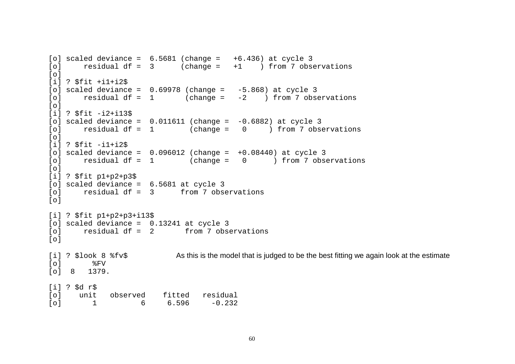```
[o] scaled deviance = 6.5681 (change = +6.436) at cycle 3
[o] residual df = 3 (change = +1 ) from 7 observations
\lceil 0 \rceil[i] ? $fit +i1+i2$
[o] scaled deviance = 0.69978 (change = -5.868) at cycle 3
[0] residual df = 1 (change = -2 ) from 7 observations
\lceil 0 \rceil[i] ? $fit -i2+i13$
[o] scaled deviance = 0.011611 (change = -0.6882) at cycle 3
[0] residual df = 1 (change = 0) from 7 observations
\lceil 0 \rceil[i] ? $fit -i1+i2$
[o] scaled deviance = 0.096012 (change = +0.08440) at cycle 3
[o] residual df = 1 (change = 0 ) from 7 observations
\lceil 0 \rceil[i] ? $fit p1+p2+p3$
[o] scaled deviance = 6.5681 at cycle 3
[o] residual df = 3 from 7 observations
\lceil \cap \rceil[i] ? $fit p1+p2+p3+i13$
[o] scaled deviance = 0.13241 at cycle 3
[o] residual df = 2 from 7 observations
\lceil \cap \rceil[i] ? $look 8 f\bar{v}$ As this is the model that is judged to be the best fitting we again look at the estimate
[o] %FV
[o] 8 1379.
[i] ? $d r$
[o] unit observed fitted residual
\begin{bmatrix} 0 & 1 & 6 & 6 & 596 & -0 & 232 \end{bmatrix}
```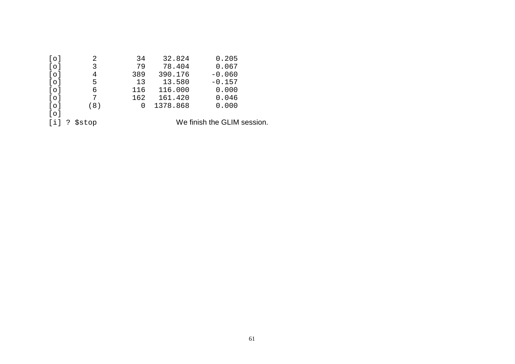| $[ \circ ]$ | 2                   | 34  | 32.824   | 0.205                       |  |
|-------------|---------------------|-----|----------|-----------------------------|--|
| [0]         | 3                   | 79  | 78.404   | 0.067                       |  |
| $[ \circ ]$ | 4                   | 389 | 390.176  | $-0.060$                    |  |
| $[ \circ ]$ | 5.                  | 13  | 13.580   | $-0.157$                    |  |
| $[ \circ ]$ | 6                   | 116 | 116.000  | 0.000                       |  |
| $[ \circ ]$ |                     | 162 | 161.420  | 0.046                       |  |
| $[ \circ ]$ | (8)                 | 0   | 1378.868 | 0.000                       |  |
| [0]         |                     |     |          |                             |  |
| $[i]$ ?     | <i><b>Sstop</b></i> |     |          | We finish the GLIM session. |  |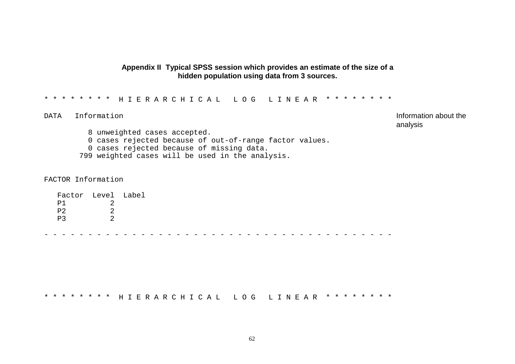### **Appendix II Typical SPSS session which provides an estimate of the size of a hidden population using data from 3 sources.**

#### \*\*\*\*\*\*\*\* HIERARCHICAL LOG LINEAR \*\*\*\*\*\*\*\*

DATA Information **Information** analysis

 unweighted cases accepted. cases rejected because of out-of-range factor values. cases rejected because of missing data. weighted cases will be used in the analysis.

FACTOR Information

| Factor Level Label |  |
|--------------------|--|
| P <sub>1</sub>     |  |
| P <sub>2</sub>     |  |
| D3                 |  |
|                    |  |

----------------------------------------

\*\*\*\*\*\*\*\* HIERARCHICAL LOG LINEAR \*\*\*\*\*\*\*\*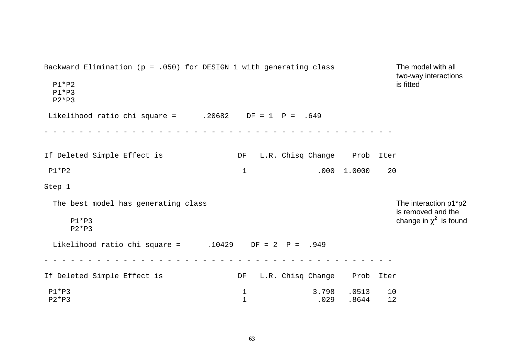Backward Elimination ( $p = .050$ ) for DESIGN 1 with generating class The model with all two-way interactions P1\*P2 is fitted P1\*P3P2\*P3Likelihood ratio chi square =  $.20682$  DF = 1 P = .649 ----------------------------------------If Deleted Simple Effect is DF L.R. Chisq Change Prob Iter P1\*P2 20 20 Step 1 The best model has generating class The interaction p1\*p2 is removed and the P1\*P3change in  $\chi^2$  is found P2\*P3 Likelihood ratio chi square =  $.10429$  DF = 2 P = .949 ----------------------------------------If Deleted Simple Effect is DF L.R. Chisq Change Prob Iter P1\*P3 1 3.798 .0513 10 P2\*P3 1 .029 .8644 12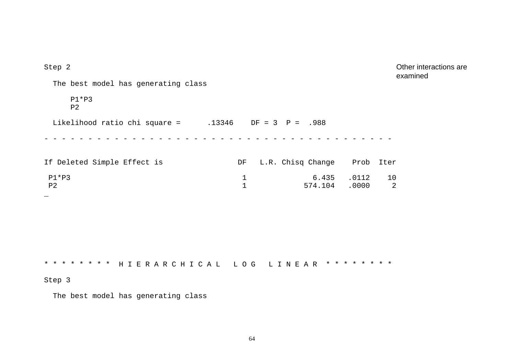| Step 2                                                    |                                                  | Other interactions are<br>examined |
|-----------------------------------------------------------|--------------------------------------------------|------------------------------------|
| The best model has generating class                       |                                                  |                                    |
| $P1*P3$<br>P <sub>2</sub>                                 |                                                  |                                    |
| Likelihood ratio chi square = $.13346$ DF = 3 P = .988    |                                                  |                                    |
|                                                           |                                                  |                                    |
| If Deleted Simple Effect is                               | L.R. Chisq Change Prob Iter<br>DF                |                                    |
| $P1*P3$<br>P <sub>2</sub>                                 | 6.435<br>$\mathbf{1}$<br>$\mathbf{1}$<br>574.104 | $.0112$ 10<br>2<br>.0000           |
|                                                           |                                                  |                                    |
|                                                           |                                                  |                                    |
|                                                           |                                                  |                                    |
| * * * * * * * * HIERARCHICAL LOG LINEAR * * * * * * * * * |                                                  |                                    |
| Step 3                                                    |                                                  |                                    |
|                                                           |                                                  |                                    |

The best model has generating class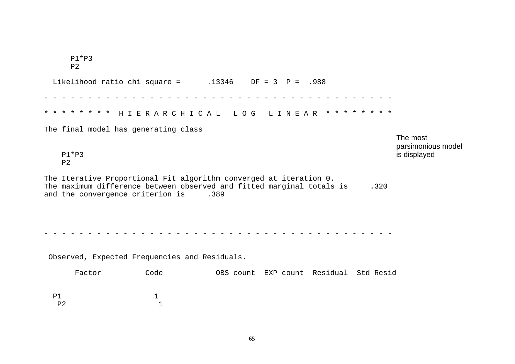|           | $P1*P3$<br>P <sub>2</sub> |                                                                                                                |                                        |      |                                                |
|-----------|---------------------------|----------------------------------------------------------------------------------------------------------------|----------------------------------------|------|------------------------------------------------|
|           |                           | Likelihood ratio chi square = $.13346$ DF = 3 P = .988                                                         |                                        |      |                                                |
|           |                           | * * * * * * * * HIERARCHICAL LOG LINEAR * * * * * * * *                                                        |                                        |      |                                                |
|           | $P1*P3$                   | The final model has generating class                                                                           |                                        |      | The most<br>parsimonious model<br>is displayed |
|           | P <sub>2</sub>            | The Iterative Proportional Fit algorithm converged at iteration 0.                                             |                                        |      |                                                |
|           |                           | The maximum difference between observed and fitted marginal totals is<br>and the convergence criterion is .389 |                                        | .320 |                                                |
|           |                           | Observed, Expected Frequencies and Residuals.                                                                  |                                        |      |                                                |
|           | Factor                    | Code                                                                                                           | OBS count EXP count Residual Std Resid |      |                                                |
| <b>P1</b> | P <sub>2</sub>            | 1<br>1                                                                                                         |                                        |      |                                                |

65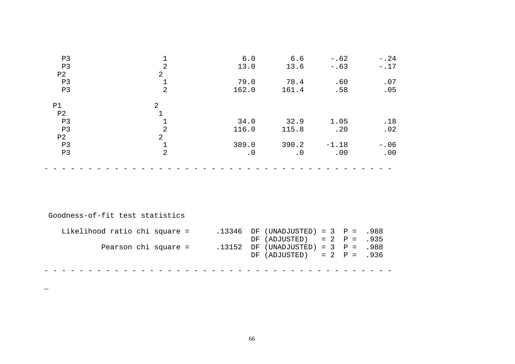| P3             |                | 6.0       | 6.6       | $-.62$  | $-.24$ |
|----------------|----------------|-----------|-----------|---------|--------|
| P <sub>3</sub> | $\overline{2}$ | 13.0      | 13.6      | $-.63$  | $-.17$ |
| P <sub>2</sub> | $\overline{2}$ |           |           |         |        |
| P3             | $\mathbf 1$    | 79.0      | 78.4      | .60     | .07    |
| P3             | $\overline{2}$ | 162.0     | 161.4     | .58     | .05    |
| P1             | 2              |           |           |         |        |
| P <sub>2</sub> |                |           |           |         |        |
| P <sub>3</sub> | 1              | 34.0      | 32.9      | 1.05    | .18    |
| P <sub>3</sub> | $\overline{2}$ | 116.0     | 115.8     | .20     | .02    |
| P <sub>2</sub> | $\overline{2}$ |           |           |         |        |
| P <sub>3</sub> | $\mathbf{1}$   | 389.0     | 390.2     | $-1.18$ | $-.06$ |
| P3             | $\overline{2}$ | $\cdot$ 0 | $\cdot$ 0 | .00     | .00    |
|                |                |           |           |         |        |

Goodness-of-fit test statistics

 $\overline{\phantom{0}}$ 

| Likelihood ratio chi square = |                      |  | .13346 DF (UNADJUSTED) = $3$ P = .988 |  |  |  |
|-------------------------------|----------------------|--|---------------------------------------|--|--|--|
|                               |                      |  | DF $(ADJUSTED) = 2 P = .935$          |  |  |  |
|                               | Pearson chi square = |  | .13152 DF (UNADJUSTED) = $3$ P = .988 |  |  |  |
|                               |                      |  | DF $(ADJUSTED) = 2 P = .936$          |  |  |  |
|                               |                      |  |                                       |  |  |  |
|                               |                      |  |                                       |  |  |  |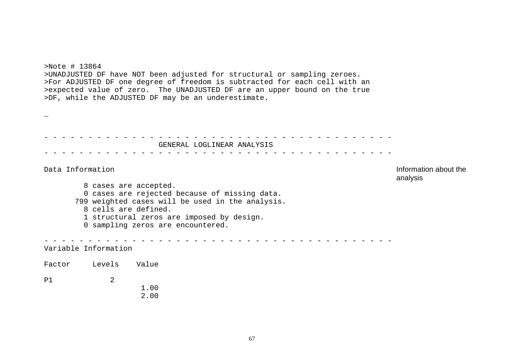>Note # 13864 >UNADJUSTED DF have NOT been adjusted for structural or sampling zeroes. >For ADJUSTED DF one degree of freedom is subtracted for each cell with an >expected value of zero. The UNADJUSTED DF are an upper bound on the true >DF, while the ADJUSTED DF may be an underestimate.

\_

----------------------------------------GENERAL LOGLINEAR ANALYSIS ----------------------------------------

Data Information **Information** Information about the analysis 8 cases are accepted. 0 cases are rejected because of missing data. 799 weighted cases will be used in the analysis. 8 cells are defined. 1 structural zeros are imposed by design. 0 sampling zeros are encountered. ----------------------------------------Variable Information Factor Levels Value P1 2 1.002.00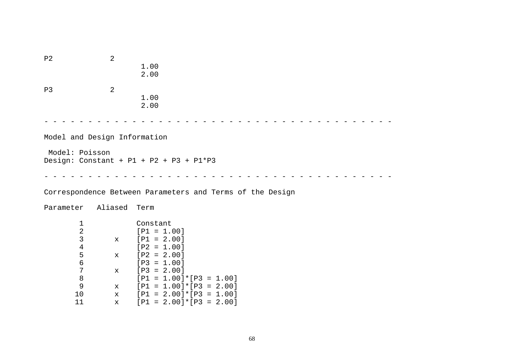P2 2 1.00 2.00P3 2 1.002.00 ----------------------------------------Model and Design Information Model: Poisson Design: Constant <sup>+</sup> P1 <sup>+</sup> P2 <sup>+</sup> P3 <sup>+</sup> P1\*P3 ----------------------------------------Correspondence Between Parameters and Terms of the Design Parameter Aliased Term 1 Constant 2 [P1 <sup>=</sup> 1.00] 3 <sup>x</sup> [P1 <sup>=</sup> 2.00] 4 [P2 <sup>=</sup> 1.00] 5 <sup>x</sup> [P2 <sup>=</sup> 2.00] 6 [P3 <sup>=</sup> 1.00] 7 <sup>x</sup> [P3 <sup>=</sup> 2.00] 8 [P1 <sup>=</sup> 1.00]\*[P3 <sup>=</sup> 1.00] 9 <sup>x</sup> [P1 <sup>=</sup> 1.00]\*[P3 <sup>=</sup> 2.00] 10 <sup>x</sup> [P1 <sup>=</sup> 2.00]\*[P3 <sup>=</sup> 1.00] 11 <sup>x</sup> [P1 <sup>=</sup> 2.00]\*[P3 <sup>=</sup> 2.00]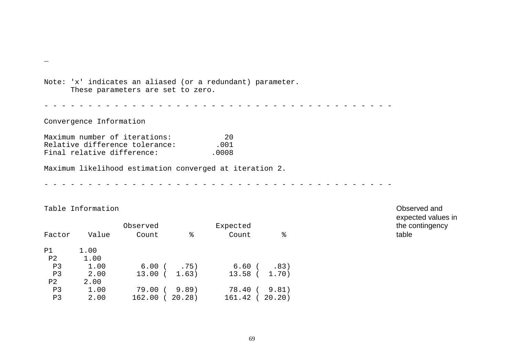Note: 'x' indicates an aliased (or <sup>a</sup> redundant) parameter. These parameters are set to zero. ----------------------------------------Convergence Information Maximum number of iterations: 20<br>Relative difference tolerance: 001 Relative difference tolerance: Final relative difference: .0008 Maximum likelihood estimation converged at iteration 2. ----------------------------------------

Table Information Observed and

\_

|                |       | Observed   |               | Expected      |        |  | the c |
|----------------|-------|------------|---------------|---------------|--------|--|-------|
| Factor         | Value | Count      | ႜ             | ႜ<br>Count    | table  |  |       |
| P1             | 1.00  |            |               |               |        |  |       |
| P <sub>2</sub> | 1.00  |            |               |               |        |  |       |
| P3             | 1.00  |            | $6.00$ ( .75) | 6.60 (        | .83)   |  |       |
| P <sub>3</sub> | 2.00  |            | 13.00(1.63)   | 13.58 ( 1.70) |        |  |       |
| P2             | 2.00  |            |               |               |        |  |       |
| P <sub>3</sub> | 1.00  | 79.00 (    | 9.89          | 78.40 (       | 9.81)  |  |       |
| P3             | 2.00  | $162.00$ ( | 20.28)        | 161.42 (      | 20.20) |  |       |

expected values in the contingency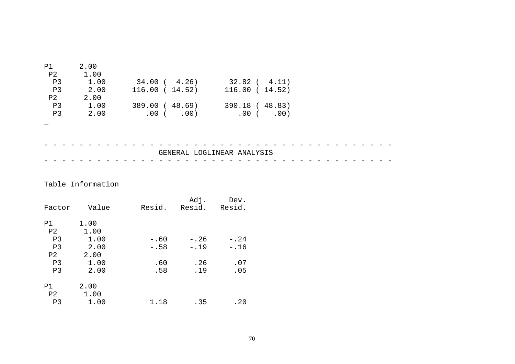| P1<br>P2       | 2.00<br>1.00               |                 |                    |  |  |  |  |
|----------------|----------------------------|-----------------|--------------------|--|--|--|--|
| P <sub>3</sub> | 1.00                       | 34.00(4.26)     | $32.82$ ( $4.11$ ) |  |  |  |  |
| P3             | 2.00                       | 116.00(14.52)   | 116.00(14.52)      |  |  |  |  |
| P <sub>2</sub> | 2.00                       |                 |                    |  |  |  |  |
| P3             | 1.00                       | 389.00 ( 48.69) | 390.18 ( 48.83)    |  |  |  |  |
| P <sub>3</sub> | 2.00                       | $.00$ ( .00)    | $.00$ ( $.00)$     |  |  |  |  |
|                |                            |                 |                    |  |  |  |  |
|                |                            |                 |                    |  |  |  |  |
|                |                            |                 |                    |  |  |  |  |
|                | GENERAL LOGLINEAR ANALYSIS |                 |                    |  |  |  |  |
|                |                            |                 |                    |  |  |  |  |

## Table Information

| Factor               | Value        | Resid. | Adj.<br>Resid. | Dev.<br>Resid. |
|----------------------|--------------|--------|----------------|----------------|
| P1<br>P2             | 1.00<br>1.00 |        |                |                |
| P <sub>3</sub>       | 1.00         | $-.60$ | $-.26$         | $-.24$         |
| P <sub>3</sub>       | 2.00         | $-.58$ | $-.19$         | $-.16$         |
| P2                   | 2.00         |        |                |                |
| P3                   | 1.00         | .60    | .26            | .07            |
| P <sub>3</sub>       | 2.00         | .58    | .19            | .05            |
| P1<br>P <sub>2</sub> | 2.00<br>1.00 |        |                |                |
| P3                   | 1.00         | 1.18   | .35            | .20            |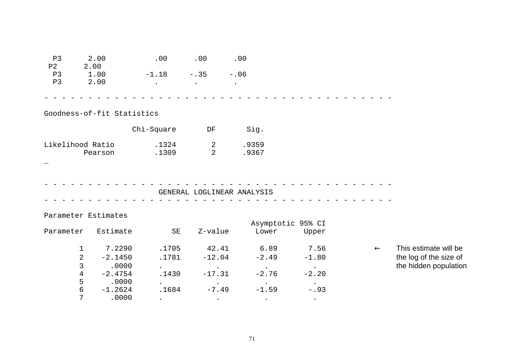| P3<br>P <sub>2</sub> | 2.00<br>2.00               | .00                 | .00            | .00                        |                   |              |                                                 |
|----------------------|----------------------------|---------------------|----------------|----------------------------|-------------------|--------------|-------------------------------------------------|
| P3                   | 1.00                       | $-1.18$             | $-.35$         | $-.06$                     |                   |              |                                                 |
| P3                   | 2.00                       | $\bullet$           | $\bullet$      | $\bullet$                  |                   |              |                                                 |
|                      |                            |                     |                |                            |                   |              |                                                 |
|                      |                            |                     |                |                            |                   |              |                                                 |
|                      | Goodness-of-fit Statistics |                     |                |                            |                   |              |                                                 |
|                      |                            | Chi-Square          | DF             | Sig.                       |                   |              |                                                 |
| Likelihood Ratio     |                            | .1324               | 2              | .9359                      |                   |              |                                                 |
|                      | Pearson                    | .1309               | $\overline{a}$ | .9367                      |                   |              |                                                 |
|                      |                            |                     |                |                            |                   |              |                                                 |
|                      |                            |                     |                |                            |                   |              |                                                 |
|                      |                            |                     |                |                            |                   |              |                                                 |
|                      |                            |                     |                | GENERAL LOGLINEAR ANALYSIS |                   |              |                                                 |
|                      |                            |                     |                |                            |                   |              |                                                 |
|                      | Parameter Estimates        |                     |                |                            |                   |              |                                                 |
|                      |                            |                     |                |                            | Asymptotic 95% CI |              |                                                 |
| Parameter            | Estimate                   | $\operatorname{SE}$ | Z-value        | Lower                      | Upper             |              |                                                 |
| $\mathbf{1}$         | 7.2290                     | .1705               | 42.41          | 6.89                       | 7.56              | $\leftarrow$ | This estimate will be                           |
| $\overline{2}$       | $-2.1450$                  | .1781               | $-12.04$       | $-2.49$                    | $-1.80$           |              | the log of the size of<br>the hidden population |
| 3                    | .0000                      |                     |                |                            | $\bullet$         |              |                                                 |
| 4                    | $-2.4754$                  | .1430               | $-17.31$       | $-2.76$                    | $-2.20$           |              |                                                 |
| 5                    | .0000                      |                     |                |                            |                   |              |                                                 |
| $\epsilon$           | $-1.2624$                  | .1684               | $-7.49$        | $-1.59$                    | $-.93$            |              |                                                 |
| 7                    | .0000                      | $\sim$              | $\sim$ $\sim$  | $\sim$ $\sim$              | $\sim$ $\sim$     |              |                                                 |